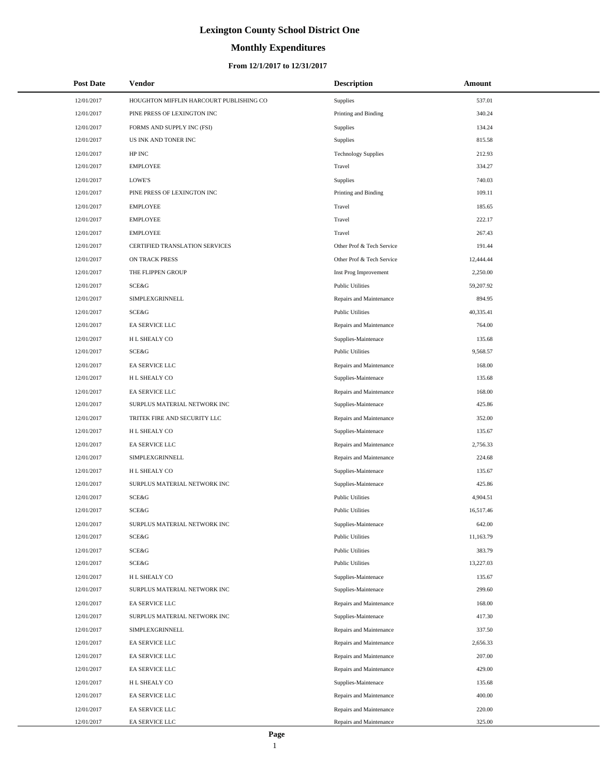# **Monthly Expenditures**

### **From 12/1/2017 to 12/31/2017**

| <b>Post Date</b> | Vendor                                  | <b>Description</b>         | Amount    |  |
|------------------|-----------------------------------------|----------------------------|-----------|--|
| 12/01/2017       | HOUGHTON MIFFLIN HARCOURT PUBLISHING CO | Supplies                   | 537.01    |  |
| 12/01/2017       | PINE PRESS OF LEXINGTON INC             | Printing and Binding       | 340.24    |  |
| 12/01/2017       | FORMS AND SUPPLY INC (FSI)              | Supplies                   | 134.24    |  |
| 12/01/2017       | US INK AND TONER INC                    | Supplies                   | 815.58    |  |
| 12/01/2017       | HP INC                                  | <b>Technology Supplies</b> | 212.93    |  |
| 12/01/2017       | <b>EMPLOYEE</b>                         | Travel                     | 334.27    |  |
| 12/01/2017       | LOWE'S                                  | Supplies                   | 740.03    |  |
| 12/01/2017       | PINE PRESS OF LEXINGTON INC             | Printing and Binding       | 109.11    |  |
| 12/01/2017       | <b>EMPLOYEE</b>                         | Travel                     | 185.65    |  |
| 12/01/2017       | <b>EMPLOYEE</b>                         | Travel                     | 222.17    |  |
| 12/01/2017       | <b>EMPLOYEE</b>                         | Travel                     | 267.43    |  |
| 12/01/2017       | CERTIFIED TRANSLATION SERVICES          | Other Prof & Tech Service  | 191.44    |  |
| 12/01/2017       | ON TRACK PRESS                          | Other Prof & Tech Service  | 12,444.44 |  |
| 12/01/2017       | THE FLIPPEN GROUP                       | Inst Prog Improvement      | 2,250.00  |  |
| 12/01/2017       | SCE&G                                   | <b>Public Utilities</b>    | 59,207.92 |  |
| 12/01/2017       | <b>SIMPLEXGRINNELL</b>                  | Repairs and Maintenance    | 894.95    |  |
| 12/01/2017       | SCE&G                                   | <b>Public Utilities</b>    | 40,335.41 |  |
| 12/01/2017       | EA SERVICE LLC                          | Repairs and Maintenance    | 764.00    |  |
| 12/01/2017       | H L SHEALY CO                           | Supplies-Maintenace        | 135.68    |  |
| 12/01/2017       | SCE&G                                   | <b>Public Utilities</b>    | 9,568.57  |  |
| 12/01/2017       | EA SERVICE LLC                          | Repairs and Maintenance    | 168.00    |  |
| 12/01/2017       | H L SHEALY CO                           | Supplies-Maintenace        | 135.68    |  |
| 12/01/2017       | EA SERVICE LLC                          | Repairs and Maintenance    | 168.00    |  |
| 12/01/2017       | SURPLUS MATERIAL NETWORK INC            | Supplies-Maintenace        | 425.86    |  |
| 12/01/2017       | TRITEK FIRE AND SECURITY LLC            | Repairs and Maintenance    | 352.00    |  |
| 12/01/2017       | H L SHEALY CO                           | Supplies-Maintenace        | 135.67    |  |
| 12/01/2017       | EA SERVICE LLC                          | Repairs and Maintenance    | 2,756.33  |  |
| 12/01/2017       | SIMPLEXGRINNELL                         | Repairs and Maintenance    | 224.68    |  |
| 12/01/2017       | H L SHEALY CO                           | Supplies-Maintenace        | 135.67    |  |
| 12/01/2017       | SURPLUS MATERIAL NETWORK INC            | Supplies-Maintenace        | 425.86    |  |
| 12/01/2017       | SCE&G                                   | <b>Public Utilities</b>    | 4,904.51  |  |
| 12/01/2017       | SCE&G                                   | <b>Public Utilities</b>    | 16,517.46 |  |
| 12/01/2017       | SURPLUS MATERIAL NETWORK INC            | Supplies-Maintenace        | 642.00    |  |
| 12/01/2017       | SCE&G                                   | <b>Public Utilities</b>    | 11,163.79 |  |
| 12/01/2017       | SCE&G                                   | <b>Public Utilities</b>    | 383.79    |  |
| 12/01/2017       | SCE&G                                   | <b>Public Utilities</b>    | 13,227.03 |  |
| 12/01/2017       | H L SHEALY CO                           | Supplies-Maintenace        | 135.67    |  |
| 12/01/2017       | SURPLUS MATERIAL NETWORK INC            | Supplies-Maintenace        | 299.60    |  |
| 12/01/2017       | EA SERVICE LLC                          | Repairs and Maintenance    | 168.00    |  |
| 12/01/2017       | SURPLUS MATERIAL NETWORK INC            | Supplies-Maintenace        | 417.30    |  |
| 12/01/2017       | SIMPLEXGRINNELL                         | Repairs and Maintenance    | 337.50    |  |
| 12/01/2017       | EA SERVICE LLC                          | Repairs and Maintenance    | 2,656.33  |  |
| 12/01/2017       | EA SERVICE LLC                          | Repairs and Maintenance    | 207.00    |  |
| 12/01/2017       | EA SERVICE LLC                          | Repairs and Maintenance    | 429.00    |  |
| 12/01/2017       | H L SHEALY CO                           | Supplies-Maintenace        | 135.68    |  |
| 12/01/2017       | EA SERVICE LLC                          | Repairs and Maintenance    | 400.00    |  |
| 12/01/2017       | EA SERVICE LLC                          | Repairs and Maintenance    | 220.00    |  |
| 12/01/2017       | EA SERVICE LLC                          | Repairs and Maintenance    | 325.00    |  |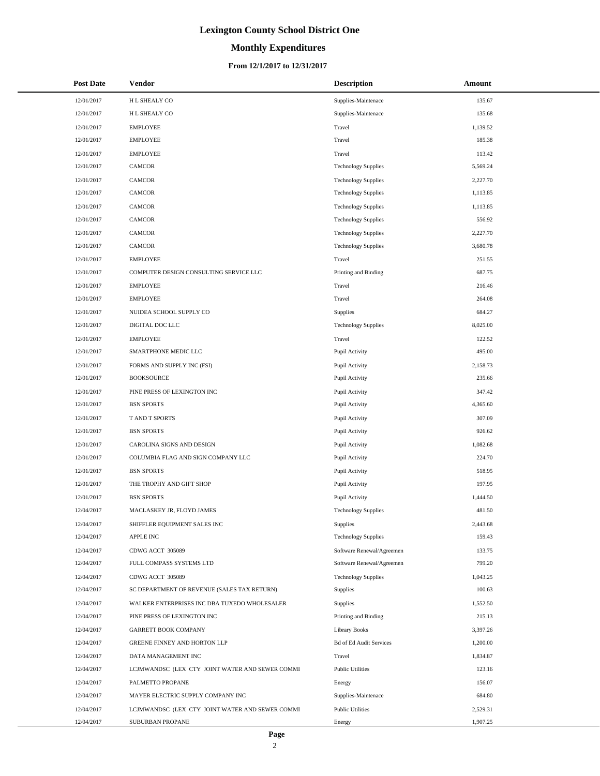# **Monthly Expenditures**

| <b>Post Date</b> | Vendor                                          | <b>Description</b>             | Amount   |
|------------------|-------------------------------------------------|--------------------------------|----------|
| 12/01/2017       | H L SHEALY CO                                   | Supplies-Maintenace            | 135.67   |
| 12/01/2017       | H L SHEALY CO                                   | Supplies-Maintenace            | 135.68   |
| 12/01/2017       | <b>EMPLOYEE</b>                                 | Travel                         | 1,139.52 |
| 12/01/2017       | <b>EMPLOYEE</b>                                 | Travel                         | 185.38   |
| 12/01/2017       | <b>EMPLOYEE</b>                                 | Travel                         | 113.42   |
| 12/01/2017       | CAMCOR                                          | <b>Technology Supplies</b>     | 5,569.24 |
| 12/01/2017       | CAMCOR                                          | <b>Technology Supplies</b>     | 2,227.70 |
| 12/01/2017       | <b>CAMCOR</b>                                   | <b>Technology Supplies</b>     | 1,113.85 |
| 12/01/2017       | CAMCOR                                          | <b>Technology Supplies</b>     | 1,113.85 |
| 12/01/2017       | <b>CAMCOR</b>                                   | <b>Technology Supplies</b>     | 556.92   |
| 12/01/2017       | CAMCOR                                          | <b>Technology Supplies</b>     | 2,227.70 |
| 12/01/2017       | <b>CAMCOR</b>                                   | <b>Technology Supplies</b>     | 3,680.78 |
| 12/01/2017       | <b>EMPLOYEE</b>                                 | Travel                         | 251.55   |
| 12/01/2017       | COMPUTER DESIGN CONSULTING SERVICE LLC          | Printing and Binding           | 687.75   |
| 12/01/2017       | <b>EMPLOYEE</b>                                 | Travel                         | 216.46   |
| 12/01/2017       | <b>EMPLOYEE</b>                                 | Travel                         | 264.08   |
| 12/01/2017       | NUIDEA SCHOOL SUPPLY CO                         | Supplies                       | 684.27   |
| 12/01/2017       | DIGITAL DOC LLC                                 | <b>Technology Supplies</b>     | 8,025.00 |
| 12/01/2017       | <b>EMPLOYEE</b>                                 | Travel                         | 122.52   |
| 12/01/2017       | SMARTPHONE MEDIC LLC                            | Pupil Activity                 | 495.00   |
| 12/01/2017       | FORMS AND SUPPLY INC (FSI)                      | Pupil Activity                 | 2,158.73 |
| 12/01/2017       | <b>BOOKSOURCE</b>                               | Pupil Activity                 | 235.66   |
| 12/01/2017       | PINE PRESS OF LEXINGTON INC                     | Pupil Activity                 | 347.42   |
| 12/01/2017       | <b>BSN SPORTS</b>                               | Pupil Activity                 | 4,365.60 |
| 12/01/2017       | T AND T SPORTS                                  | Pupil Activity                 | 307.09   |
| 12/01/2017       | <b>BSN SPORTS</b>                               | Pupil Activity                 | 926.62   |
| 12/01/2017       | CAROLINA SIGNS AND DESIGN                       | Pupil Activity                 | 1,082.68 |
| 12/01/2017       | COLUMBIA FLAG AND SIGN COMPANY LLC              | Pupil Activity                 | 224.70   |
| 12/01/2017       | <b>BSN SPORTS</b>                               | Pupil Activity                 | 518.95   |
| 12/01/2017       | THE TROPHY AND GIFT SHOP                        | Pupil Activity                 | 197.95   |
| 12/01/2017       | <b>BSN SPORTS</b>                               | Pupil Activity                 | 1,444.50 |
| 12/04/2017       | MACLASKEY JR, FLOYD JAMES                       | <b>Technology Supplies</b>     | 481.50   |
| 12/04/2017       | SHIFFLER EQUIPMENT SALES INC                    | Supplies                       | 2,443.68 |
| 12/04/2017       | APPLE INC                                       | <b>Technology Supplies</b>     | 159.43   |
| 12/04/2017       | CDWG ACCT 305089                                | Software Renewal/Agreemen      | 133.75   |
| 12/04/2017       | FULL COMPASS SYSTEMS LTD                        | Software Renewal/Agreemen      | 799.20   |
| 12/04/2017       | CDWG ACCT 305089                                | <b>Technology Supplies</b>     | 1,043.25 |
| 12/04/2017       | SC DEPARTMENT OF REVENUE (SALES TAX RETURN)     | <b>Supplies</b>                | 100.63   |
| 12/04/2017       | WALKER ENTERPRISES INC DBA TUXEDO WHOLESALER    | Supplies                       | 1,552.50 |
| 12/04/2017       | PINE PRESS OF LEXINGTON INC                     | Printing and Binding           | 215.13   |
| 12/04/2017       | <b>GARRETT BOOK COMPANY</b>                     | <b>Library Books</b>           | 3,397.26 |
| 12/04/2017       | GREENE FINNEY AND HORTON LLP                    | <b>Bd of Ed Audit Services</b> | 1,200.00 |
| 12/04/2017       | DATA MANAGEMENT INC                             | Travel                         | 1,834.87 |
| 12/04/2017       | LCJMWANDSC (LEX CTY JOINT WATER AND SEWER COMMI | <b>Public Utilities</b>        | 123.16   |
| 12/04/2017       | PALMETTO PROPANE                                | Energy                         | 156.07   |
| 12/04/2017       | MAYER ELECTRIC SUPPLY COMPANY INC               | Supplies-Maintenace            | 684.80   |
| 12/04/2017       | LCJMWANDSC (LEX CTY JOINT WATER AND SEWER COMMI | <b>Public Utilities</b>        | 2,529.31 |
| 12/04/2017       | SUBURBAN PROPANE                                | Energy                         | 1,907.25 |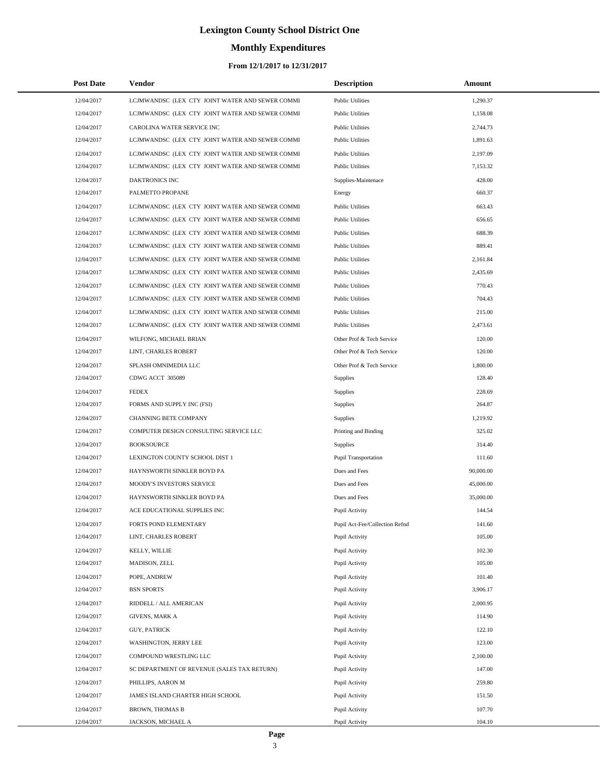# **Monthly Expenditures**

### **From 12/1/2017 to 12/31/2017**

| <b>Post Date</b> | Vendor                                          | <b>Description</b>             | Amount    |
|------------------|-------------------------------------------------|--------------------------------|-----------|
| 12/04/2017       | LCJMWANDSC (LEX CTY JOINT WATER AND SEWER COMMI | <b>Public Utilities</b>        | 1,290.37  |
| 12/04/2017       | LCJMWANDSC (LEX CTY JOINT WATER AND SEWER COMMI | <b>Public Utilities</b>        | 1,158.08  |
| 12/04/2017       | CAROLINA WATER SERVICE INC                      | <b>Public Utilities</b>        | 2,744.73  |
| 12/04/2017       | LCJMWANDSC (LEX CTY JOINT WATER AND SEWER COMMI | <b>Public Utilities</b>        | 1,891.63  |
| 12/04/2017       | LCJMWANDSC (LEX CTY JOINT WATER AND SEWER COMMI | <b>Public Utilities</b>        | 2,197.09  |
| 12/04/2017       | LCJMWANDSC (LEX CTY JOINT WATER AND SEWER COMMI | <b>Public Utilities</b>        | 7,153.32  |
| 12/04/2017       | DAKTRONICS INC                                  | Supplies-Maintenace            | 428.00    |
| 12/04/2017       | PALMETTO PROPANE                                | Energy                         | 660.37    |
| 12/04/2017       | LCJMWANDSC (LEX CTY JOINT WATER AND SEWER COMMI | <b>Public Utilities</b>        | 663.43    |
| 12/04/2017       | LCJMWANDSC (LEX CTY JOINT WATER AND SEWER COMMI | <b>Public Utilities</b>        | 656.65    |
| 12/04/2017       | LCJMWANDSC (LEX CTY JOINT WATER AND SEWER COMMI | <b>Public Utilities</b>        | 688.39    |
| 12/04/2017       | LCJMWANDSC (LEX CTY JOINT WATER AND SEWER COMMI | <b>Public Utilities</b>        | 889.41    |
| 12/04/2017       | LCJMWANDSC (LEX CTY JOINT WATER AND SEWER COMMI | <b>Public Utilities</b>        | 2,161.84  |
| 12/04/2017       | LCJMWANDSC (LEX CTY JOINT WATER AND SEWER COMMI | <b>Public Utilities</b>        | 2,435.69  |
| 12/04/2017       | LCJMWANDSC (LEX CTY JOINT WATER AND SEWER COMMI | <b>Public Utilities</b>        | 770.43    |
| 12/04/2017       | LCJMWANDSC (LEX CTY JOINT WATER AND SEWER COMMI | <b>Public Utilities</b>        | 704.43    |
| 12/04/2017       | LCJMWANDSC (LEX CTY JOINT WATER AND SEWER COMMI | <b>Public Utilities</b>        | 215.00    |
| 12/04/2017       | LCJMWANDSC (LEX CTY JOINT WATER AND SEWER COMMI | <b>Public Utilities</b>        | 2,473.61  |
| 12/04/2017       | WILFONG, MICHAEL BRIAN                          | Other Prof & Tech Service      | 120.00    |
| 12/04/2017       | LINT, CHARLES ROBERT                            | Other Prof & Tech Service      | 120.00    |
| 12/04/2017       | SPLASH OMNIMEDIA LLC                            | Other Prof & Tech Service      | 1,800.00  |
| 12/04/2017       | CDWG ACCT 305089                                | <b>Supplies</b>                | 128.40    |
| 12/04/2017       | <b>FEDEX</b>                                    | Supplies                       | 228.69    |
| 12/04/2017       | FORMS AND SUPPLY INC (FSI)                      | Supplies                       | 264.87    |
| 12/04/2017       | CHANNING BETE COMPANY                           | Supplies                       | 1,219.92  |
| 12/04/2017       | COMPUTER DESIGN CONSULTING SERVICE LLC          | Printing and Binding           | 325.02    |
| 12/04/2017       | <b>BOOKSOURCE</b>                               | Supplies                       | 314.40    |
| 12/04/2017       | LEXINGTON COUNTY SCHOOL DIST 1                  | <b>Pupil Transportation</b>    | 111.60    |
| 12/04/2017       | HAYNSWORTH SINKLER BOYD PA                      | Dues and Fees                  | 90,000.00 |
| 12/04/2017       | MOODY'S INVESTORS SERVICE                       | Dues and Fees                  | 45,000.00 |
| 12/04/2017       | HAYNSWORTH SINKLER BOYD PA                      | Dues and Fees                  | 35,000.00 |
| 12/04/2017       | ACE EDUCATIONAL SUPPLIES INC                    | Pupil Activity                 | 144.54    |
| 12/04/2017       | FORTS POND ELEMENTARY                           | Pupil Act-Fee/Collection Refnd | 141.60    |
| 12/04/2017       | LINT, CHARLES ROBERT                            | Pupil Activity                 | 105.00    |
| 12/04/2017       | KELLY, WILLIE                                   | Pupil Activity                 | 102.30    |
| 12/04/2017       | MADISON, ZELL                                   | Pupil Activity                 | 105.00    |
| 12/04/2017       | POPE, ANDREW                                    | Pupil Activity                 | 101.40    |
| 12/04/2017       | <b>BSN SPORTS</b>                               | Pupil Activity                 | 3,906.17  |
| 12/04/2017       | RIDDELL / ALL AMERICAN                          | Pupil Activity                 | 2,000.95  |
| 12/04/2017       | <b>GIVENS, MARK A</b>                           | Pupil Activity                 | 114.90    |
| 12/04/2017       | <b>GUY, PATRICK</b>                             | Pupil Activity                 | 122.10    |
| 12/04/2017       | WASHINGTON, JERRY LEE                           | Pupil Activity                 | 123.00    |
| 12/04/2017       | COMPOUND WRESTLING LLC                          | Pupil Activity                 | 2,100.00  |
| 12/04/2017       | SC DEPARTMENT OF REVENUE (SALES TAX RETURN)     | Pupil Activity                 | 147.00    |
| 12/04/2017       | PHILLIPS, AARON M                               | Pupil Activity                 | 259.80    |
| 12/04/2017       | JAMES ISLAND CHARTER HIGH SCHOOL                | Pupil Activity                 | 151.50    |
| 12/04/2017       | BROWN, THOMAS B                                 | Pupil Activity                 | 107.70    |
| 12/04/2017       | JACKSON, MICHAEL A                              | Pupil Activity                 | 104.10    |

 $\overline{a}$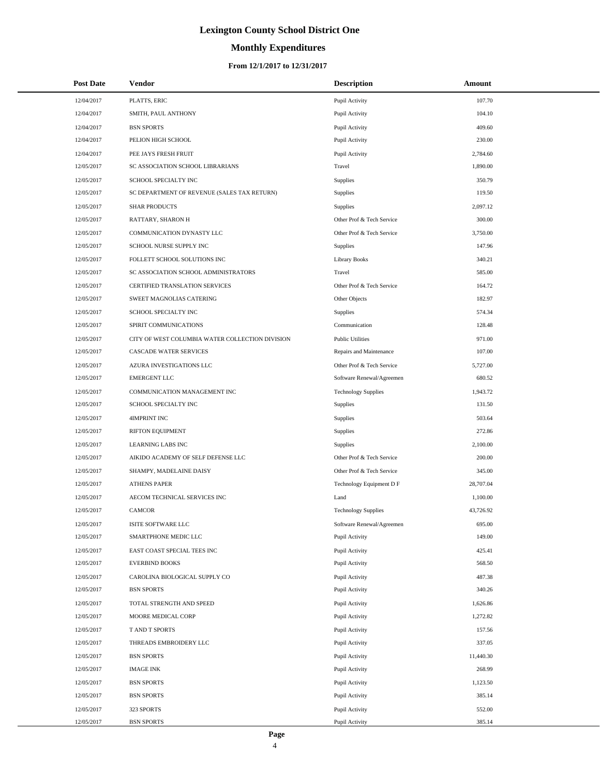# **Monthly Expenditures**

| <b>Post Date</b> | Vendor                                          | <b>Description</b>         | Amount    |
|------------------|-------------------------------------------------|----------------------------|-----------|
| 12/04/2017       | PLATTS, ERIC                                    | Pupil Activity             | 107.70    |
| 12/04/2017       | SMITH, PAUL ANTHONY                             | Pupil Activity             | 104.10    |
| 12/04/2017       | <b>BSN SPORTS</b>                               | Pupil Activity             | 409.60    |
| 12/04/2017       | PELION HIGH SCHOOL                              | Pupil Activity             | 230.00    |
| 12/04/2017       | PEE JAYS FRESH FRUIT                            | Pupil Activity             | 2,784.60  |
| 12/05/2017       | SC ASSOCIATION SCHOOL LIBRARIANS                | Travel                     | 1,890.00  |
| 12/05/2017       | SCHOOL SPECIALTY INC                            | Supplies                   | 350.79    |
| 12/05/2017       | SC DEPARTMENT OF REVENUE (SALES TAX RETURN)     | Supplies                   | 119.50    |
| 12/05/2017       | <b>SHAR PRODUCTS</b>                            | Supplies                   | 2,097.12  |
| 12/05/2017       | RATTARY, SHARON H                               | Other Prof & Tech Service  | 300.00    |
| 12/05/2017       | COMMUNICATION DYNASTY LLC                       | Other Prof & Tech Service  | 3,750.00  |
| 12/05/2017       | SCHOOL NURSE SUPPLY INC                         | <b>Supplies</b>            | 147.96    |
| 12/05/2017       | FOLLETT SCHOOL SOLUTIONS INC                    | Library Books              | 340.21    |
| 12/05/2017       | SC ASSOCIATION SCHOOL ADMINISTRATORS            | Travel                     | 585.00    |
| 12/05/2017       | CERTIFIED TRANSLATION SERVICES                  | Other Prof & Tech Service  | 164.72    |
| 12/05/2017       | SWEET MAGNOLIAS CATERING                        | Other Objects              | 182.97    |
| 12/05/2017       | SCHOOL SPECIALTY INC                            | Supplies                   | 574.34    |
| 12/05/2017       | SPIRIT COMMUNICATIONS                           | Communication              | 128.48    |
| 12/05/2017       | CITY OF WEST COLUMBIA WATER COLLECTION DIVISION | <b>Public Utilities</b>    | 971.00    |
| 12/05/2017       | CASCADE WATER SERVICES                          | Repairs and Maintenance    | 107.00    |
| 12/05/2017       | AZURA INVESTIGATIONS LLC                        | Other Prof & Tech Service  | 5,727.00  |
| 12/05/2017       | <b>EMERGENT LLC</b>                             | Software Renewal/Agreemen  | 680.52    |
| 12/05/2017       | COMMUNICATION MANAGEMENT INC                    | <b>Technology Supplies</b> | 1,943.72  |
| 12/05/2017       | SCHOOL SPECIALTY INC                            | Supplies                   | 131.50    |
| 12/05/2017       | 4IMPRINT INC                                    | Supplies                   | 503.64    |
| 12/05/2017       | RIFTON EQUIPMENT                                | Supplies                   | 272.86    |
| 12/05/2017       | <b>LEARNING LABS INC</b>                        | Supplies                   | 2,100.00  |
| 12/05/2017       | AIKIDO ACADEMY OF SELF DEFENSE LLC              | Other Prof & Tech Service  | 200.00    |
| 12/05/2017       | SHAMPY, MADELAINE DAISY                         | Other Prof & Tech Service  | 345.00    |
| 12/05/2017       | <b>ATHENS PAPER</b>                             | Technology Equipment D F   | 28,707.04 |
| 12/05/2017       | AECOM TECHNICAL SERVICES INC                    | Land                       | 1,100.00  |
| 12/05/2017       | <b>CAMCOR</b>                                   | <b>Technology Supplies</b> | 43,726.92 |
| 12/05/2017       | ISITE SOFTWARE LLC                              | Software Renewal/Agreemen  | 695.00    |
| 12/05/2017       | SMARTPHONE MEDIC LLC                            | Pupil Activity             | 149.00    |
| 12/05/2017       | EAST COAST SPECIAL TEES INC                     | Pupil Activity             | 425.41    |
| 12/05/2017       | <b>EVERBIND BOOKS</b>                           | Pupil Activity             | 568.50    |
| 12/05/2017       | CAROLINA BIOLOGICAL SUPPLY CO                   | Pupil Activity             | 487.38    |
| 12/05/2017       | <b>BSN SPORTS</b>                               | Pupil Activity             | 340.26    |
| 12/05/2017       | TOTAL STRENGTH AND SPEED                        | Pupil Activity             | 1,626.86  |
| 12/05/2017       | MOORE MEDICAL CORP                              | Pupil Activity             | 1,272.82  |
| 12/05/2017       | T AND T SPORTS                                  | Pupil Activity             | 157.56    |
| 12/05/2017       | THREADS EMBROIDERY LLC                          | Pupil Activity             | 337.05    |
| 12/05/2017       | <b>BSN SPORTS</b>                               | Pupil Activity             | 11,440.30 |
| 12/05/2017       | <b>IMAGE INK</b>                                | Pupil Activity             | 268.99    |
| 12/05/2017       | <b>BSN SPORTS</b>                               | Pupil Activity             | 1,123.50  |
| 12/05/2017       | <b>BSN SPORTS</b>                               | Pupil Activity             | 385.14    |
| 12/05/2017       | 323 SPORTS                                      | Pupil Activity             | 552.00    |
| 12/05/2017       | <b>BSN SPORTS</b>                               | Pupil Activity             | 385.14    |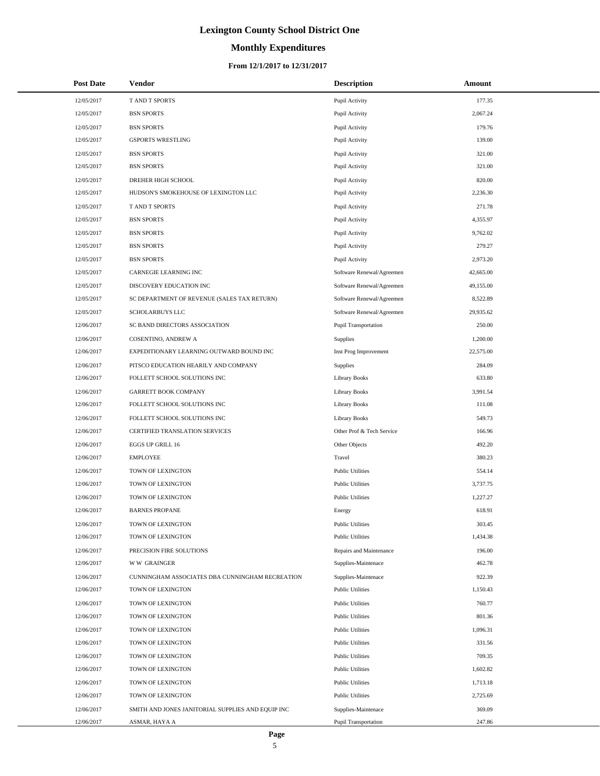# **Monthly Expenditures**

### **From 12/1/2017 to 12/31/2017**

| <b>Post Date</b> | Vendor                                            | <b>Description</b>          | Amount    |
|------------------|---------------------------------------------------|-----------------------------|-----------|
| 12/05/2017       | T AND T SPORTS                                    | Pupil Activity              | 177.35    |
| 12/05/2017       | <b>BSN SPORTS</b>                                 | Pupil Activity              | 2,067.24  |
| 12/05/2017       | <b>BSN SPORTS</b>                                 | Pupil Activity              | 179.76    |
| 12/05/2017       | <b>GSPORTS WRESTLING</b>                          | Pupil Activity              | 139.00    |
| 12/05/2017       | <b>BSN SPORTS</b>                                 | Pupil Activity              | 321.00    |
| 12/05/2017       | <b>BSN SPORTS</b>                                 | Pupil Activity              | 321.00    |
| 12/05/2017       | DREHER HIGH SCHOOL                                | Pupil Activity              | 820.00    |
| 12/05/2017       | HUDSON'S SMOKEHOUSE OF LEXINGTON LLC              | Pupil Activity              | 2,236.30  |
| 12/05/2017       | T AND T SPORTS                                    | Pupil Activity              | 271.78    |
| 12/05/2017       | <b>BSN SPORTS</b>                                 | Pupil Activity              | 4,355.97  |
| 12/05/2017       | <b>BSN SPORTS</b>                                 | Pupil Activity              | 9,762.02  |
| 12/05/2017       | <b>BSN SPORTS</b>                                 | Pupil Activity              | 279.27    |
| 12/05/2017       | <b>BSN SPORTS</b>                                 | Pupil Activity              | 2,973.20  |
| 12/05/2017       | CARNEGIE LEARNING INC                             | Software Renewal/Agreemen   | 42,665.00 |
| 12/05/2017       | DISCOVERY EDUCATION INC                           | Software Renewal/Agreemen   | 49,155.00 |
| 12/05/2017       | SC DEPARTMENT OF REVENUE (SALES TAX RETURN)       | Software Renewal/Agreemen   | 8,522.89  |
| 12/05/2017       | SCHOLARBUYS LLC                                   | Software Renewal/Agreemen   | 29,935.62 |
| 12/06/2017       | SC BAND DIRECTORS ASSOCIATION                     | <b>Pupil Transportation</b> | 250.00    |
| 12/06/2017       | <b>COSENTINO, ANDREW A</b>                        | Supplies                    | 1,200.00  |
| 12/06/2017       | EXPEDITIONARY LEARNING OUTWARD BOUND INC          | Inst Prog Improvement       | 22,575.00 |
| 12/06/2017       | PITSCO EDUCATION HEARILY AND COMPANY              | Supplies                    | 284.09    |
| 12/06/2017       | FOLLETT SCHOOL SOLUTIONS INC                      | <b>Library Books</b>        | 633.80    |
| 12/06/2017       | <b>GARRETT BOOK COMPANY</b>                       | <b>Library Books</b>        | 3,991.54  |
| 12/06/2017       | FOLLETT SCHOOL SOLUTIONS INC                      | <b>Library Books</b>        | 111.08    |
| 12/06/2017       | FOLLETT SCHOOL SOLUTIONS INC                      | <b>Library Books</b>        | 549.73    |
| 12/06/2017       | CERTIFIED TRANSLATION SERVICES                    | Other Prof & Tech Service   | 166.96    |
| 12/06/2017       | EGGS UP GRILL 16                                  | Other Objects               | 492.20    |
| 12/06/2017       | <b>EMPLOYEE</b>                                   | Travel                      | 380.23    |
| 12/06/2017       | TOWN OF LEXINGTON                                 | <b>Public Utilities</b>     | 554.14    |
| 12/06/2017       | TOWN OF LEXINGTON                                 | <b>Public Utilities</b>     | 3,737.75  |
| 12/06/2017       | TOWN OF LEXINGTON                                 | <b>Public Utilities</b>     | 1,227.27  |
| 12/06/2017       | <b>BARNES PROPANE</b>                             | Energy                      | 618.91    |
| 12/06/2017       | TOWN OF LEXINGTON                                 | <b>Public Utilities</b>     | 303.45    |
| 12/06/2017       | TOWN OF LEXINGTON                                 | <b>Public Utilities</b>     | 1,434.38  |
| 12/06/2017       | PRECISION FIRE SOLUTIONS                          | Repairs and Maintenance     | 196.00    |
| 12/06/2017       | <b>WW GRAINGER</b>                                | Supplies-Maintenace         | 462.78    |
| 12/06/2017       | CUNNINGHAM ASSOCIATES DBA CUNNINGHAM RECREATION   | Supplies-Maintenace         | 922.39    |
| 12/06/2017       | TOWN OF LEXINGTON                                 | <b>Public Utilities</b>     | 1,150.43  |
| 12/06/2017       | TOWN OF LEXINGTON                                 | <b>Public Utilities</b>     | 760.77    |
| 12/06/2017       | TOWN OF LEXINGTON                                 | <b>Public Utilities</b>     | 801.36    |
| 12/06/2017       | TOWN OF LEXINGTON                                 | <b>Public Utilities</b>     | 1,096.31  |
| 12/06/2017       | TOWN OF LEXINGTON                                 | <b>Public Utilities</b>     | 331.56    |
| 12/06/2017       | TOWN OF LEXINGTON                                 | <b>Public Utilities</b>     | 709.35    |
| 12/06/2017       | TOWN OF LEXINGTON                                 | <b>Public Utilities</b>     | 1,602.82  |
| 12/06/2017       | TOWN OF LEXINGTON                                 | <b>Public Utilities</b>     | 1,713.18  |
| 12/06/2017       | TOWN OF LEXINGTON                                 | <b>Public Utilities</b>     | 2,725.69  |
| 12/06/2017       | SMITH AND JONES JANITORIAL SUPPLIES AND EQUIP INC | Supplies-Maintenace         | 369.09    |
| 12/06/2017       | ASMAR, HAYA A                                     | Pupil Transportation        | 247.86    |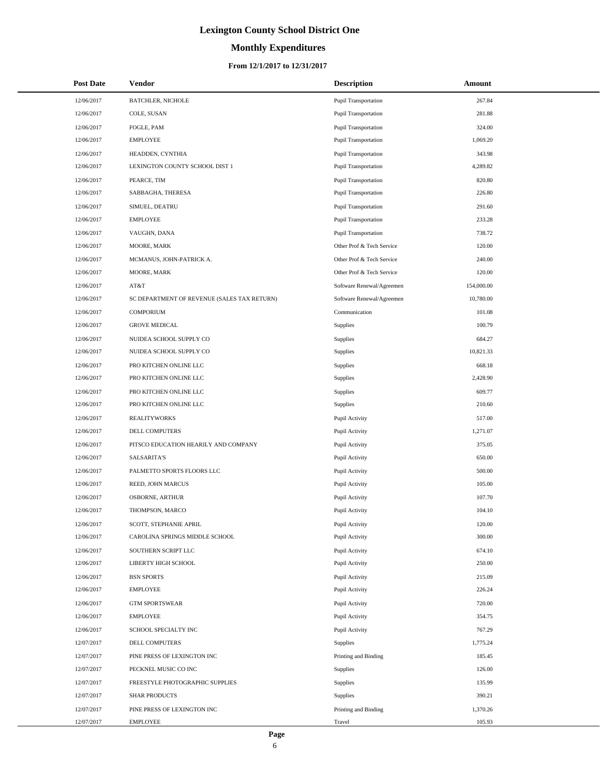# **Monthly Expenditures**

### **From 12/1/2017 to 12/31/2017**

| <b>Post Date</b> | <b>Vendor</b>                               | <b>Description</b>        | Amount     |
|------------------|---------------------------------------------|---------------------------|------------|
| 12/06/2017       | <b>BATCHLER, NICHOLE</b>                    | Pupil Transportation      | 267.84     |
| 12/06/2017       | COLE, SUSAN                                 | Pupil Transportation      | 281.88     |
| 12/06/2017       | FOGLE, PAM                                  | Pupil Transportation      | 324.00     |
| 12/06/2017       | <b>EMPLOYEE</b>                             | Pupil Transportation      | 1,069.20   |
| 12/06/2017       | HEADDEN, CYNTHIA                            | Pupil Transportation      | 343.98     |
| 12/06/2017       | LEXINGTON COUNTY SCHOOL DIST 1              | Pupil Transportation      | 4,289.82   |
| 12/06/2017       | PEARCE, TIM                                 | Pupil Transportation      | 820.80     |
| 12/06/2017       | SABBAGHA, THERESA                           | Pupil Transportation      | 226.80     |
| 12/06/2017       | SIMUEL, DEATRU                              | Pupil Transportation      | 291.60     |
| 12/06/2017       | <b>EMPLOYEE</b>                             | Pupil Transportation      | 233.28     |
| 12/06/2017       | VAUGHN, DANA                                | Pupil Transportation      | 738.72     |
| 12/06/2017       | MOORE, MARK                                 | Other Prof & Tech Service | 120.00     |
| 12/06/2017       | MCMANUS, JOHN-PATRICK A.                    | Other Prof & Tech Service | 240.00     |
| 12/06/2017       | MOORE, MARK                                 | Other Prof & Tech Service | 120.00     |
| 12/06/2017       | AT&T                                        | Software Renewal/Agreemen | 154,000.00 |
| 12/06/2017       | SC DEPARTMENT OF REVENUE (SALES TAX RETURN) | Software Renewal/Agreemen | 10,780.00  |
| 12/06/2017       | <b>COMPORIUM</b>                            | Communication             | 101.08     |
| 12/06/2017       | <b>GROVE MEDICAL</b>                        | Supplies                  | 100.79     |
| 12/06/2017       | NUIDEA SCHOOL SUPPLY CO                     | Supplies                  | 684.27     |
| 12/06/2017       | NUIDEA SCHOOL SUPPLY CO                     | Supplies                  | 10,821.33  |
| 12/06/2017       | PRO KITCHEN ONLINE LLC                      | Supplies                  | 668.18     |
| 12/06/2017       | PRO KITCHEN ONLINE LLC                      | Supplies                  | 2,428.90   |
| 12/06/2017       | PRO KITCHEN ONLINE LLC                      | Supplies                  | 609.77     |
| 12/06/2017       | PRO KITCHEN ONLINE LLC                      | Supplies                  | 210.60     |
| 12/06/2017       | <b>REALITYWORKS</b>                         | Pupil Activity            | 517.00     |
| 12/06/2017       | DELL COMPUTERS                              | Pupil Activity            | 1,271.07   |
| 12/06/2017       | PITSCO EDUCATION HEARILY AND COMPANY        | Pupil Activity            | 375.05     |
| 12/06/2017       | <b>SALSARITA'S</b>                          | Pupil Activity            | 650.00     |
| 12/06/2017       | PALMETTO SPORTS FLOORS LLC                  | Pupil Activity            | 500.00     |
| 12/06/2017       | REED, JOHN MARCUS                           | Pupil Activity            | 105.00     |
| 12/06/2017       | <b>OSBORNE, ARTHUR</b>                      | Pupil Activity            | 107.70     |
| 12/06/2017       | THOMPSON, MARCO                             | Pupil Activity            | 104.10     |
| 12/06/2017       | SCOTT, STEPHANIE APRIL                      | Pupil Activity            | 120.00     |
| 12/06/2017       | CAROLINA SPRINGS MIDDLE SCHOOL              | Pupil Activity            | 300.00     |
| 12/06/2017       | SOUTHERN SCRIPT LLC                         | Pupil Activity            | 674.10     |
| 12/06/2017       | LIBERTY HIGH SCHOOL                         | Pupil Activity            | 250.00     |
| 12/06/2017       | <b>BSN SPORTS</b>                           | Pupil Activity            | 215.09     |
| 12/06/2017       | <b>EMPLOYEE</b>                             | Pupil Activity            | 226.24     |
| 12/06/2017       | <b>GTM SPORTSWEAR</b>                       | Pupil Activity            | 720.00     |
| 12/06/2017       | <b>EMPLOYEE</b>                             | Pupil Activity            | 354.75     |
| 12/06/2017       | SCHOOL SPECIALTY INC                        | Pupil Activity            | 767.29     |
| 12/07/2017       | DELL COMPUTERS                              | Supplies                  | 1,775.24   |
| 12/07/2017       | PINE PRESS OF LEXINGTON INC                 | Printing and Binding      | 185.45     |
| 12/07/2017       | PECKNEL MUSIC CO INC                        | Supplies                  | 126.00     |
| 12/07/2017       | FREESTYLE PHOTOGRAPHIC SUPPLIES             | Supplies                  | 135.99     |
| 12/07/2017       | <b>SHAR PRODUCTS</b>                        | Supplies                  | 390.21     |
| 12/07/2017       | PINE PRESS OF LEXINGTON INC                 | Printing and Binding      | 1,370.26   |
| 12/07/2017       | <b>EMPLOYEE</b>                             | Travel                    | 105.93     |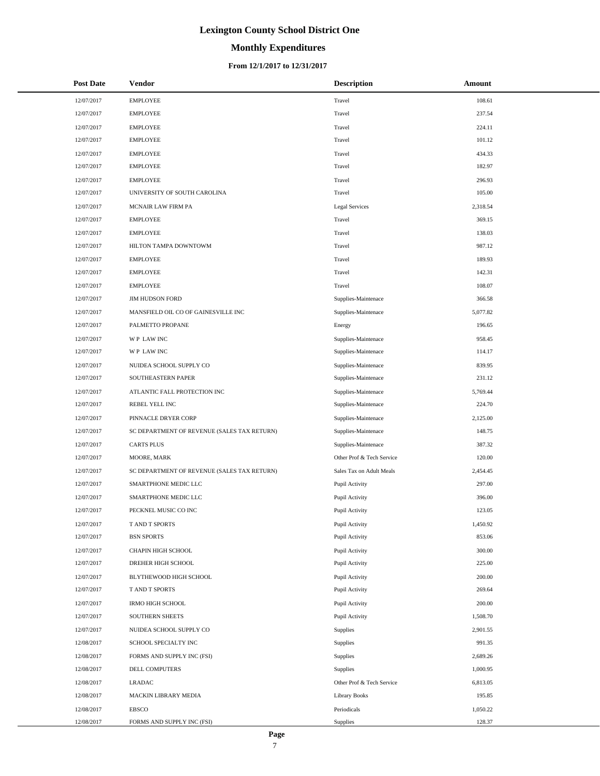# **Monthly Expenditures**

| <b>Post Date</b> | Vendor                                      | <b>Description</b>        | Amount   |
|------------------|---------------------------------------------|---------------------------|----------|
| 12/07/2017       | <b>EMPLOYEE</b>                             | Travel                    | 108.61   |
| 12/07/2017       | <b>EMPLOYEE</b>                             | Travel                    | 237.54   |
| 12/07/2017       | <b>EMPLOYEE</b>                             | Travel                    | 224.11   |
| 12/07/2017       | <b>EMPLOYEE</b>                             | Travel                    | 101.12   |
| 12/07/2017       | <b>EMPLOYEE</b>                             | Travel                    | 434.33   |
| 12/07/2017       | <b>EMPLOYEE</b>                             | Travel                    | 182.97   |
| 12/07/2017       | <b>EMPLOYEE</b>                             | Travel                    | 296.93   |
| 12/07/2017       | UNIVERSITY OF SOUTH CAROLINA                | Travel                    | 105.00   |
| 12/07/2017       | MCNAIR LAW FIRM PA                          | Legal Services            | 2,318.54 |
| 12/07/2017       | <b>EMPLOYEE</b>                             | Travel                    | 369.15   |
| 12/07/2017       | <b>EMPLOYEE</b>                             | Travel                    | 138.03   |
| 12/07/2017       | HILTON TAMPA DOWNTOWM                       | Travel                    | 987.12   |
| 12/07/2017       | <b>EMPLOYEE</b>                             | Travel                    | 189.93   |
| 12/07/2017       | <b>EMPLOYEE</b>                             | Travel                    | 142.31   |
| 12/07/2017       | <b>EMPLOYEE</b>                             | Travel                    | 108.07   |
| 12/07/2017       | <b>JIM HUDSON FORD</b>                      | Supplies-Maintenace       | 366.58   |
| 12/07/2017       | MANSFIELD OIL CO OF GAINESVILLE INC         | Supplies-Maintenace       | 5,077.82 |
| 12/07/2017       | PALMETTO PROPANE                            | Energy                    | 196.65   |
| 12/07/2017       | WP LAW INC                                  | Supplies-Maintenace       | 958.45   |
| 12/07/2017       | WP LAW INC                                  | Supplies-Maintenace       | 114.17   |
| 12/07/2017       | NUIDEA SCHOOL SUPPLY CO                     | Supplies-Maintenace       | 839.95   |
| 12/07/2017       | SOUTHEASTERN PAPER                          | Supplies-Maintenace       | 231.12   |
| 12/07/2017       | ATLANTIC FALL PROTECTION INC                | Supplies-Maintenace       | 5,769.44 |
| 12/07/2017       | REBEL YELL INC                              | Supplies-Maintenace       | 224.70   |
| 12/07/2017       | PINNACLE DRYER CORP                         | Supplies-Maintenace       | 2,125.00 |
| 12/07/2017       | SC DEPARTMENT OF REVENUE (SALES TAX RETURN) | Supplies-Maintenace       | 148.75   |
| 12/07/2017       | <b>CARTS PLUS</b>                           | Supplies-Maintenace       | 387.32   |
| 12/07/2017       | MOORE, MARK                                 | Other Prof & Tech Service | 120.00   |
| 12/07/2017       | SC DEPARTMENT OF REVENUE (SALES TAX RETURN) | Sales Tax on Adult Meals  | 2,454.45 |
| 12/07/2017       | SMARTPHONE MEDIC LLC                        | Pupil Activity            | 297.00   |
| 12/07/2017       | SMARTPHONE MEDIC LLC                        | Pupil Activity            | 396.00   |
| 12/07/2017       | PECKNEL MUSIC CO INC                        | Pupil Activity            | 123.05   |
| 12/07/2017       | T AND T SPORTS                              | Pupil Activity            | 1,450.92 |
| 12/07/2017       | <b>BSN SPORTS</b>                           | Pupil Activity            | 853.06   |
| 12/07/2017       | CHAPIN HIGH SCHOOL                          | Pupil Activity            | 300.00   |
| 12/07/2017       | DREHER HIGH SCHOOL                          | Pupil Activity            | 225.00   |
| 12/07/2017       | BLYTHEWOOD HIGH SCHOOL                      | Pupil Activity            | 200.00   |
| 12/07/2017       | T AND T SPORTS                              | Pupil Activity            | 269.64   |
| 12/07/2017       | <b>IRMO HIGH SCHOOL</b>                     | Pupil Activity            | 200.00   |
| 12/07/2017       | SOUTHERN SHEETS                             | Pupil Activity            | 1,508.70 |
| 12/07/2017       | NUIDEA SCHOOL SUPPLY CO                     | Supplies                  | 2,901.55 |
| 12/08/2017       | SCHOOL SPECIALTY INC                        | Supplies                  | 991.35   |
| 12/08/2017       | FORMS AND SUPPLY INC (FSI)                  | Supplies                  | 2,689.26 |
| 12/08/2017       | DELL COMPUTERS                              | Supplies                  | 1,000.95 |
| 12/08/2017       | <b>LRADAC</b>                               | Other Prof & Tech Service | 6,813.05 |
| 12/08/2017       | MACKIN LIBRARY MEDIA                        | Library Books             | 195.85   |
| 12/08/2017       | <b>EBSCO</b>                                | Periodicals               | 1,050.22 |
| 12/08/2017       | FORMS AND SUPPLY INC (FSI)                  | Supplies                  | 128.37   |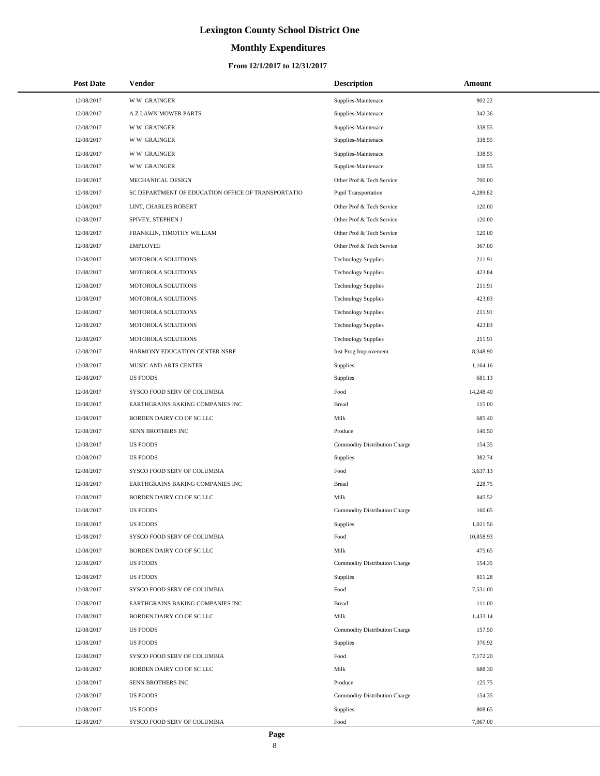# **Monthly Expenditures**

### **From 12/1/2017 to 12/31/2017**

| <b>Post Date</b> | Vendor                                             | <b>Description</b>            | Amount    |
|------------------|----------------------------------------------------|-------------------------------|-----------|
| 12/08/2017       | <b>WW GRAINGER</b>                                 | Supplies-Maintenace           | 902.22    |
| 12/08/2017       | A Z LAWN MOWER PARTS                               | Supplies-Maintenace           | 342.36    |
| 12/08/2017       | <b>WW GRAINGER</b>                                 | Supplies-Maintenace           | 338.55    |
| 12/08/2017       | <b>WW GRAINGER</b>                                 | Supplies-Maintenace           | 338.55    |
| 12/08/2017       | <b>WW GRAINGER</b>                                 | Supplies-Maintenace           | 338.55    |
| 12/08/2017       | <b>WW GRAINGER</b>                                 | Supplies-Maintenace           | 338.55    |
| 12/08/2017       | MECHANICAL DESIGN                                  | Other Prof & Tech Service     | 700.00    |
| 12/08/2017       | SC DEPARTMENT OF EDUCATION OFFICE OF TRANSPORTATIO | Pupil Transportation          | 4,289.82  |
| 12/08/2017       | LINT, CHARLES ROBERT                               | Other Prof & Tech Service     | 120.00    |
| 12/08/2017       | SPIVEY, STEPHEN J                                  | Other Prof & Tech Service     | 120.00    |
| 12/08/2017       | FRANKLIN, TIMOTHY WILLIAM                          | Other Prof & Tech Service     | 120.00    |
| 12/08/2017       | <b>EMPLOYEE</b>                                    | Other Prof & Tech Service     | 367.00    |
| 12/08/2017       | MOTOROLA SOLUTIONS                                 | <b>Technology Supplies</b>    | 211.91    |
| 12/08/2017       | MOTOROLA SOLUTIONS                                 | <b>Technology Supplies</b>    | 423.84    |
| 12/08/2017       | MOTOROLA SOLUTIONS                                 | <b>Technology Supplies</b>    | 211.91    |
| 12/08/2017       | MOTOROLA SOLUTIONS                                 | <b>Technology Supplies</b>    | 423.83    |
| 12/08/2017       | MOTOROLA SOLUTIONS                                 | <b>Technology Supplies</b>    | 211.91    |
| 12/08/2017       | MOTOROLA SOLUTIONS                                 | <b>Technology Supplies</b>    | 423.83    |
| 12/08/2017       | MOTOROLA SOLUTIONS                                 | <b>Technology Supplies</b>    | 211.91    |
| 12/08/2017       | HARMONY EDUCATION CENTER NSRF                      | Inst Prog Improvement         | 8,348.90  |
| 12/08/2017       | MUSIC AND ARTS CENTER                              | Supplies                      | 1,164.16  |
| 12/08/2017       | <b>US FOODS</b>                                    | Supplies                      | 681.13    |
| 12/08/2017       | SYSCO FOOD SERV OF COLUMBIA                        | Food                          | 14,248.40 |
| 12/08/2017       | EARTHGRAINS BAKING COMPANIES INC                   | <b>Bread</b>                  | 115.00    |
| 12/08/2017       | BORDEN DAIRY CO OF SC LLC                          | Milk                          | 685.40    |
| 12/08/2017       | SENN BROTHERS INC                                  | Produce                       | 140.50    |
| 12/08/2017       | <b>US FOODS</b>                                    | Commodity Distribution Charge | 154.35    |
| 12/08/2017       | <b>US FOODS</b>                                    | Supplies                      | 382.74    |
| 12/08/2017       | SYSCO FOOD SERV OF COLUMBIA                        | Food                          | 3,637.13  |
| 12/08/2017       | EARTHGRAINS BAKING COMPANIES INC                   | <b>Bread</b>                  | 228.75    |
| 12/08/2017       | BORDEN DAIRY CO OF SC LLC                          | Milk                          | 845.52    |
| 12/08/2017       | <b>US FOODS</b>                                    | Commodity Distribution Charge | 160.65    |
| 12/08/2017       | <b>US FOODS</b>                                    | Supplies                      | 1,021.56  |
| 12/08/2017       | SYSCO FOOD SERV OF COLUMBIA                        | Food                          | 10,858.93 |
| 12/08/2017       | BORDEN DAIRY CO OF SC LLC                          | Milk                          | 475.65    |
| 12/08/2017       | <b>US FOODS</b>                                    | Commodity Distribution Charge | 154.35    |
| 12/08/2017       | <b>US FOODS</b>                                    | Supplies                      | 811.28    |
| 12/08/2017       | SYSCO FOOD SERV OF COLUMBIA                        | Food                          | 7,531.00  |
| 12/08/2017       | EARTHGRAINS BAKING COMPANIES INC                   | <b>Bread</b>                  | 111.00    |
| 12/08/2017       | BORDEN DAIRY CO OF SC LLC                          | Milk                          | 1,433.14  |
| 12/08/2017       | <b>US FOODS</b>                                    | Commodity Distribution Charge | 157.50    |
| 12/08/2017       | <b>US FOODS</b>                                    | Supplies                      | 376.92    |
| 12/08/2017       | SYSCO FOOD SERV OF COLUMBIA                        | Food                          | 7,172.20  |
| 12/08/2017       | BORDEN DAIRY CO OF SC LLC                          | Milk                          | 688.30    |
| 12/08/2017       | SENN BROTHERS INC                                  | Produce                       | 125.75    |
| 12/08/2017       | <b>US FOODS</b>                                    | Commodity Distribution Charge | 154.35    |
| 12/08/2017       | <b>US FOODS</b>                                    | Supplies                      | 808.65    |
| 12/08/2017       | SYSCO FOOD SERV OF COLUMBIA                        | Food                          | 7,067.00  |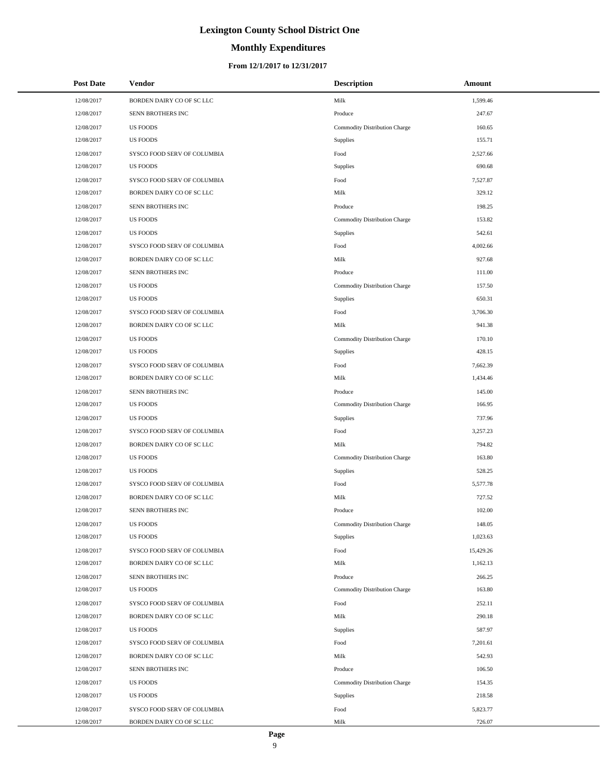### **Monthly Expenditures**

### **From 12/1/2017 to 12/31/2017**

| <b>Post Date</b> | <b>Vendor</b>               | <b>Description</b>            | Amount    |
|------------------|-----------------------------|-------------------------------|-----------|
| 12/08/2017       | BORDEN DAIRY CO OF SC LLC   | Milk                          | 1,599.46  |
| 12/08/2017       | SENN BROTHERS INC           | Produce                       | 247.67    |
| 12/08/2017       | <b>US FOODS</b>             | Commodity Distribution Charge | 160.65    |
| 12/08/2017       | <b>US FOODS</b>             | Supplies                      | 155.71    |
| 12/08/2017       | SYSCO FOOD SERV OF COLUMBIA | Food                          | 2,527.66  |
| 12/08/2017       | <b>US FOODS</b>             | Supplies                      | 690.68    |
| 12/08/2017       | SYSCO FOOD SERV OF COLUMBIA | Food                          | 7,527.87  |
| 12/08/2017       | BORDEN DAIRY CO OF SC LLC   | Milk                          | 329.12    |
| 12/08/2017       | SENN BROTHERS INC           | Produce                       | 198.25    |
| 12/08/2017       | <b>US FOODS</b>             | Commodity Distribution Charge | 153.82    |
| 12/08/2017       | <b>US FOODS</b>             | Supplies                      | 542.61    |
| 12/08/2017       | SYSCO FOOD SERV OF COLUMBIA | Food                          | 4,002.66  |
| 12/08/2017       | BORDEN DAIRY CO OF SC LLC   | Milk                          | 927.68    |
| 12/08/2017       | SENN BROTHERS INC           | Produce                       | 111.00    |
| 12/08/2017       | <b>US FOODS</b>             | Commodity Distribution Charge | 157.50    |
| 12/08/2017       | <b>US FOODS</b>             | Supplies                      | 650.31    |
| 12/08/2017       | SYSCO FOOD SERV OF COLUMBIA | Food                          | 3,706.30  |
| 12/08/2017       | BORDEN DAIRY CO OF SC LLC   | Milk                          | 941.38    |
| 12/08/2017       | <b>US FOODS</b>             | Commodity Distribution Charge | 170.10    |
| 12/08/2017       | <b>US FOODS</b>             | Supplies                      | 428.15    |
| 12/08/2017       | SYSCO FOOD SERV OF COLUMBIA | Food                          | 7,662.39  |
| 12/08/2017       | BORDEN DAIRY CO OF SC LLC   | Milk                          | 1,434.46  |
| 12/08/2017       | SENN BROTHERS INC           | Produce                       | 145.00    |
| 12/08/2017       | <b>US FOODS</b>             | Commodity Distribution Charge | 166.95    |
| 12/08/2017       | <b>US FOODS</b>             | Supplies                      | 737.96    |
| 12/08/2017       | SYSCO FOOD SERV OF COLUMBIA | Food                          | 3,257.23  |
| 12/08/2017       | BORDEN DAIRY CO OF SC LLC   | Milk                          | 794.82    |
| 12/08/2017       | <b>US FOODS</b>             | Commodity Distribution Charge | 163.80    |
| 12/08/2017       | <b>US FOODS</b>             | Supplies                      | 528.25    |
| 12/08/2017       | SYSCO FOOD SERV OF COLUMBIA | Food                          | 5,577.78  |
| 12/08/2017       | BORDEN DAIRY CO OF SC LLC   | Milk                          | 727.52    |
| 12/08/2017       | SENN BROTHERS INC           | Produce                       | 102.00    |
| 12/08/2017       | <b>US FOODS</b>             | Commodity Distribution Charge | 148.05    |
| 12/08/2017       | <b>US FOODS</b>             | Supplies                      | 1,023.63  |
| 12/08/2017       | SYSCO FOOD SERV OF COLUMBIA | Food                          | 15,429.26 |
| 12/08/2017       | BORDEN DAIRY CO OF SC LLC   | Milk                          | 1,162.13  |
| 12/08/2017       | SENN BROTHERS INC           | Produce                       | 266.25    |
| 12/08/2017       | US FOODS                    | Commodity Distribution Charge | 163.80    |
| 12/08/2017       | SYSCO FOOD SERV OF COLUMBIA | Food                          | 252.11    |
| 12/08/2017       | BORDEN DAIRY CO OF SC LLC   | Milk                          | 290.18    |
| 12/08/2017       | <b>US FOODS</b>             | Supplies                      | 587.97    |
| 12/08/2017       | SYSCO FOOD SERV OF COLUMBIA | Food                          | 7,201.61  |
| 12/08/2017       | BORDEN DAIRY CO OF SC LLC   | Milk                          | 542.93    |
| 12/08/2017       | SENN BROTHERS INC           | Produce                       | 106.50    |
| 12/08/2017       | <b>US FOODS</b>             | Commodity Distribution Charge | 154.35    |
| 12/08/2017       | US FOODS                    | Supplies                      | 218.58    |
| 12/08/2017       | SYSCO FOOD SERV OF COLUMBIA | Food                          | 5,823.77  |
| 12/08/2017       | BORDEN DAIRY CO OF SC LLC   | Milk                          | 726.07    |

 $\overline{a}$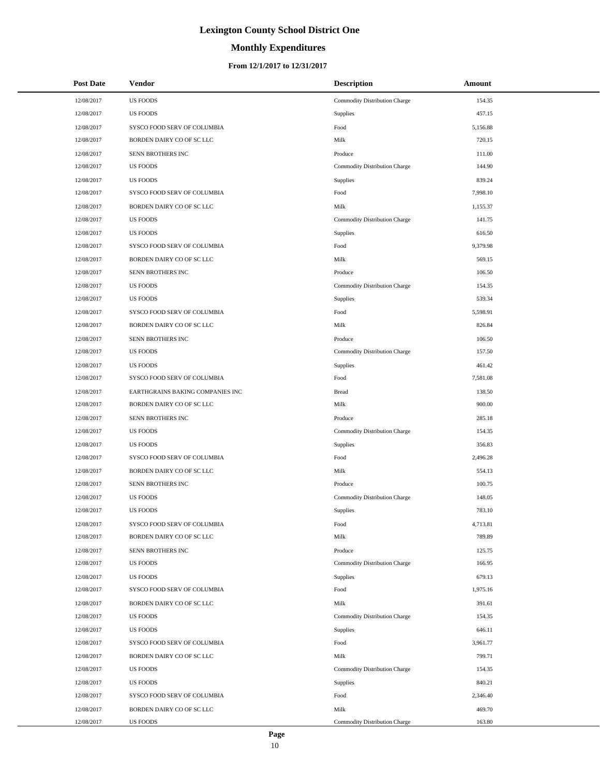# **Monthly Expenditures**

| <b>Post Date</b> | <b>Vendor</b>                    | <b>Description</b>            | Amount   |
|------------------|----------------------------------|-------------------------------|----------|
| 12/08/2017       | <b>US FOODS</b>                  | Commodity Distribution Charge | 154.35   |
| 12/08/2017       | <b>US FOODS</b>                  | Supplies                      | 457.15   |
| 12/08/2017       | SYSCO FOOD SERV OF COLUMBIA      | Food                          | 5,156.88 |
| 12/08/2017       | BORDEN DAIRY CO OF SC LLC        | Milk                          | 720.15   |
| 12/08/2017       | SENN BROTHERS INC                | Produce                       | 111.00   |
| 12/08/2017       | <b>US FOODS</b>                  | Commodity Distribution Charge | 144.90   |
| 12/08/2017       | <b>US FOODS</b>                  | Supplies                      | 839.24   |
| 12/08/2017       | SYSCO FOOD SERV OF COLUMBIA      | Food                          | 7,998.10 |
| 12/08/2017       | BORDEN DAIRY CO OF SC LLC        | Milk                          | 1,155.37 |
| 12/08/2017       | <b>US FOODS</b>                  | Commodity Distribution Charge | 141.75   |
| 12/08/2017       | <b>US FOODS</b>                  | Supplies                      | 616.50   |
| 12/08/2017       | SYSCO FOOD SERV OF COLUMBIA      | Food                          | 9,379.98 |
| 12/08/2017       | BORDEN DAIRY CO OF SC LLC        | Milk                          | 569.15   |
| 12/08/2017       | SENN BROTHERS INC                | Produce                       | 106.50   |
| 12/08/2017       | <b>US FOODS</b>                  | Commodity Distribution Charge | 154.35   |
| 12/08/2017       | <b>US FOODS</b>                  | Supplies                      | 539.34   |
| 12/08/2017       | SYSCO FOOD SERV OF COLUMBIA      | Food                          | 5,598.91 |
| 12/08/2017       | BORDEN DAIRY CO OF SC LLC        | Milk                          | 826.84   |
| 12/08/2017       | SENN BROTHERS INC                | Produce                       | 106.50   |
| 12/08/2017       | <b>US FOODS</b>                  | Commodity Distribution Charge | 157.50   |
| 12/08/2017       | <b>US FOODS</b>                  | Supplies                      | 461.42   |
| 12/08/2017       | SYSCO FOOD SERV OF COLUMBIA      | Food                          | 7,581.08 |
| 12/08/2017       | EARTHGRAINS BAKING COMPANIES INC | <b>Bread</b>                  | 138.50   |
| 12/08/2017       | BORDEN DAIRY CO OF SC LLC        | Milk                          | 900.00   |
| 12/08/2017       | SENN BROTHERS INC                | Produce                       | 285.18   |
| 12/08/2017       | <b>US FOODS</b>                  | Commodity Distribution Charge | 154.35   |
| 12/08/2017       | <b>US FOODS</b>                  | Supplies                      | 356.83   |
| 12/08/2017       | SYSCO FOOD SERV OF COLUMBIA      | Food                          | 2,496.28 |
| 12/08/2017       | BORDEN DAIRY CO OF SC LLC        | Milk                          | 554.13   |
| 12/08/2017       | SENN BROTHERS INC                | Produce                       | 100.75   |
| 12/08/2017       | <b>US FOODS</b>                  | Commodity Distribution Charge | 148.05   |
| 12/08/2017       | <b>US FOODS</b>                  | Supplies                      | 783.10   |
| 12/08/2017       | SYSCO FOOD SERV OF COLUMBIA      | Food                          | 4,713.81 |
| 12/08/2017       | BORDEN DAIRY CO OF SC LLC        | Milk                          | 789.89   |
| 12/08/2017       | SENN BROTHERS INC                | Produce                       | 125.75   |
| 12/08/2017       | <b>US FOODS</b>                  | Commodity Distribution Charge | 166.95   |
| 12/08/2017       | <b>US FOODS</b>                  | Supplies                      | 679.13   |
| 12/08/2017       | SYSCO FOOD SERV OF COLUMBIA      | Food                          | 1,975.16 |
| 12/08/2017       | BORDEN DAIRY CO OF SC LLC        | Milk                          | 391.61   |
| 12/08/2017       | <b>US FOODS</b>                  | Commodity Distribution Charge | 154.35   |
| 12/08/2017       | <b>US FOODS</b>                  | <b>Supplies</b>               | 646.11   |
| 12/08/2017       | SYSCO FOOD SERV OF COLUMBIA      | Food                          | 3,961.77 |
| 12/08/2017       | BORDEN DAIRY CO OF SC LLC        | Milk                          | 799.71   |
| 12/08/2017       | <b>US FOODS</b>                  | Commodity Distribution Charge | 154.35   |
| 12/08/2017       | <b>US FOODS</b>                  | Supplies                      | 840.21   |
| 12/08/2017       | SYSCO FOOD SERV OF COLUMBIA      | Food                          | 2,346.40 |
| 12/08/2017       | BORDEN DAIRY CO OF SC LLC        | Milk                          | 469.70   |
| 12/08/2017       | US FOODS                         | Commodity Distribution Charge | 163.80   |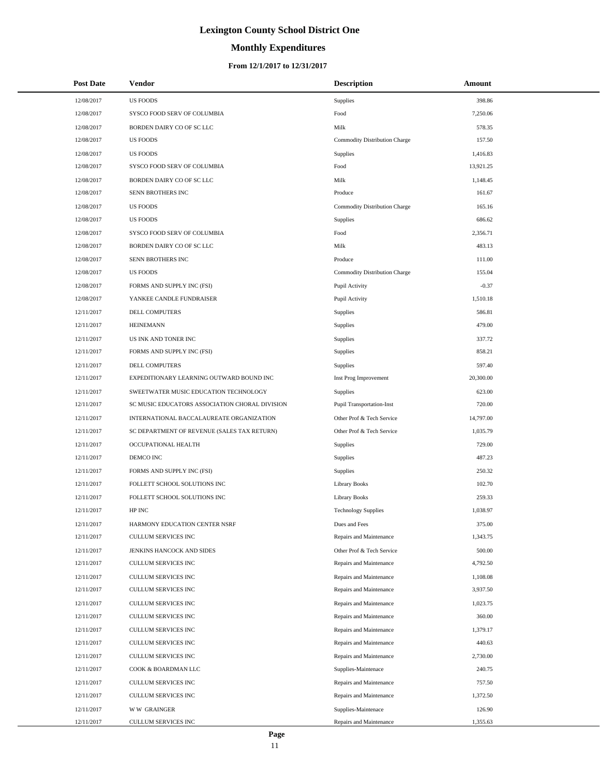# **Monthly Expenditures**

### **From 12/1/2017 to 12/31/2017**

| <b>Post Date</b> | Vendor                                         | <b>Description</b>            | Amount    |
|------------------|------------------------------------------------|-------------------------------|-----------|
| 12/08/2017       | <b>US FOODS</b>                                | Supplies                      | 398.86    |
| 12/08/2017       | SYSCO FOOD SERV OF COLUMBIA                    | Food                          | 7,250.06  |
| 12/08/2017       | BORDEN DAIRY CO OF SC LLC                      | Milk                          | 578.35    |
| 12/08/2017       | <b>US FOODS</b>                                | Commodity Distribution Charge | 157.50    |
| 12/08/2017       | <b>US FOODS</b>                                | <b>Supplies</b>               | 1,416.83  |
| 12/08/2017       | SYSCO FOOD SERV OF COLUMBIA                    | Food                          | 13,921.25 |
| 12/08/2017       | BORDEN DAIRY CO OF SC LLC                      | Milk                          | 1,148.45  |
| 12/08/2017       | <b>SENN BROTHERS INC</b>                       | Produce                       | 161.67    |
| 12/08/2017       | <b>US FOODS</b>                                | Commodity Distribution Charge | 165.16    |
| 12/08/2017       | <b>US FOODS</b>                                | <b>Supplies</b>               | 686.62    |
| 12/08/2017       | SYSCO FOOD SERV OF COLUMBIA                    | Food                          | 2,356.71  |
| 12/08/2017       | BORDEN DAIRY CO OF SC LLC                      | Milk                          | 483.13    |
| 12/08/2017       | SENN BROTHERS INC                              | Produce                       | 111.00    |
| 12/08/2017       | <b>US FOODS</b>                                | Commodity Distribution Charge | 155.04    |
| 12/08/2017       | FORMS AND SUPPLY INC (FSI)                     | Pupil Activity                | $-0.37$   |
| 12/08/2017       | YANKEE CANDLE FUNDRAISER                       | Pupil Activity                | 1,510.18  |
| 12/11/2017       | DELL COMPUTERS                                 | Supplies                      | 586.81    |
| 12/11/2017       | <b>HEINEMANN</b>                               | Supplies                      | 479.00    |
| 12/11/2017       | US INK AND TONER INC                           | Supplies                      | 337.72    |
| 12/11/2017       | FORMS AND SUPPLY INC (FSI)                     | Supplies                      | 858.21    |
| 12/11/2017       | DELL COMPUTERS                                 | Supplies                      | 597.40    |
| 12/11/2017       | EXPEDITIONARY LEARNING OUTWARD BOUND INC       | Inst Prog Improvement         | 20,300.00 |
| 12/11/2017       | SWEETWATER MUSIC EDUCATION TECHNOLOGY          | <b>Supplies</b>               | 623.00    |
| 12/11/2017       | SC MUSIC EDUCATORS ASSOCIATION CHORAL DIVISION | Pupil Transportation-Inst     | 720.00    |
| 12/11/2017       | INTERNATIONAL BACCALAUREATE ORGANIZATION       | Other Prof & Tech Service     | 14,797.00 |
| 12/11/2017       | SC DEPARTMENT OF REVENUE (SALES TAX RETURN)    | Other Prof & Tech Service     | 1,035.79  |
| 12/11/2017       | OCCUPATIONAL HEALTH                            | <b>Supplies</b>               | 729.00    |
| 12/11/2017       | DEMCO INC                                      | Supplies                      | 487.23    |
| 12/11/2017       | FORMS AND SUPPLY INC (FSI)                     | Supplies                      | 250.32    |
| 12/11/2017       | FOLLETT SCHOOL SOLUTIONS INC                   | <b>Library Books</b>          | 102.70    |
| 12/11/2017       | FOLLETT SCHOOL SOLUTIONS INC                   | <b>Library Books</b>          | 259.33    |
| 12/11/2017       | HP INC                                         | <b>Technology Supplies</b>    | 1,038.97  |
| 12/11/2017       | HARMONY EDUCATION CENTER NSRF                  | Dues and Fees                 | 375.00    |
| 12/11/2017       | CULLUM SERVICES INC                            | Repairs and Maintenance       | 1,343.75  |
| 12/11/2017       | JENKINS HANCOCK AND SIDES                      | Other Prof & Tech Service     | 500.00    |
| 12/11/2017       | CULLUM SERVICES INC                            | Repairs and Maintenance       | 4,792.50  |
| 12/11/2017       | CULLUM SERVICES INC                            | Repairs and Maintenance       | 1,108.08  |
| 12/11/2017       | CULLUM SERVICES INC                            | Repairs and Maintenance       | 3,937.50  |
| 12/11/2017       | CULLUM SERVICES INC                            | Repairs and Maintenance       | 1,023.75  |
| 12/11/2017       | <b>CULLUM SERVICES INC</b>                     | Repairs and Maintenance       | 360.00    |
| 12/11/2017       | CULLUM SERVICES INC                            | Repairs and Maintenance       | 1,379.17  |
| 12/11/2017       | CULLUM SERVICES INC                            | Repairs and Maintenance       | 440.63    |
| 12/11/2017       | CULLUM SERVICES INC                            | Repairs and Maintenance       | 2,730.00  |
| 12/11/2017       | COOK & BOARDMAN LLC                            | Supplies-Maintenace           | 240.75    |
| 12/11/2017       | CULLUM SERVICES INC                            | Repairs and Maintenance       | 757.50    |
| 12/11/2017       | CULLUM SERVICES INC                            | Repairs and Maintenance       | 1,372.50  |
| 12/11/2017       | <b>WW GRAINGER</b>                             | Supplies-Maintenace           | 126.90    |
| 12/11/2017       | CULLUM SERVICES INC                            | Repairs and Maintenance       | 1,355.63  |

 $\overline{a}$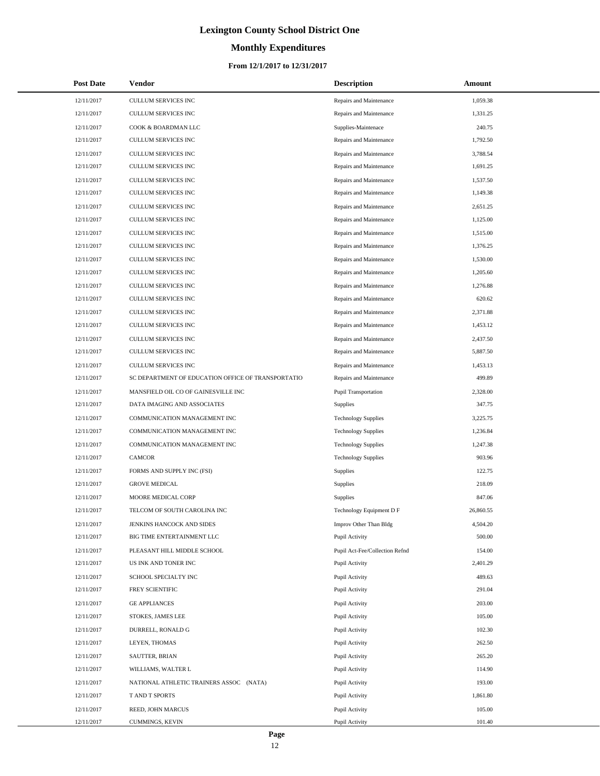# **Monthly Expenditures**

| <b>Post Date</b> | Vendor                                             | <b>Description</b>             | Amount    |
|------------------|----------------------------------------------------|--------------------------------|-----------|
| 12/11/2017       | CULLUM SERVICES INC                                | Repairs and Maintenance        | 1,059.38  |
| 12/11/2017       | <b>CULLUM SERVICES INC</b>                         | Repairs and Maintenance        | 1,331.25  |
| 12/11/2017       | COOK & BOARDMAN LLC                                | Supplies-Maintenace            | 240.75    |
| 12/11/2017       | CULLUM SERVICES INC                                | Repairs and Maintenance        | 1,792.50  |
| 12/11/2017       | CULLUM SERVICES INC                                | Repairs and Maintenance        | 3,788.54  |
| 12/11/2017       | CULLUM SERVICES INC                                | Repairs and Maintenance        | 1,691.25  |
| 12/11/2017       | CULLUM SERVICES INC                                | Repairs and Maintenance        | 1,537.50  |
| 12/11/2017       | <b>CULLUM SERVICES INC</b>                         | Repairs and Maintenance        | 1,149.38  |
| 12/11/2017       | CULLUM SERVICES INC                                | Repairs and Maintenance        | 2,651.25  |
| 12/11/2017       | CULLUM SERVICES INC                                | Repairs and Maintenance        | 1,125.00  |
| 12/11/2017       | CULLUM SERVICES INC                                | Repairs and Maintenance        | 1,515.00  |
| 12/11/2017       | CULLUM SERVICES INC                                | Repairs and Maintenance        | 1,376.25  |
| 12/11/2017       | CULLUM SERVICES INC                                | Repairs and Maintenance        | 1,530.00  |
| 12/11/2017       | <b>CULLUM SERVICES INC</b>                         | Repairs and Maintenance        | 1,205.60  |
| 12/11/2017       | CULLUM SERVICES INC                                | Repairs and Maintenance        | 1,276.88  |
| 12/11/2017       | CULLUM SERVICES INC                                | Repairs and Maintenance        | 620.62    |
| 12/11/2017       | CULLUM SERVICES INC                                | Repairs and Maintenance        | 2,371.88  |
| 12/11/2017       | <b>CULLUM SERVICES INC</b>                         | Repairs and Maintenance        | 1,453.12  |
| 12/11/2017       | CULLUM SERVICES INC                                | Repairs and Maintenance        | 2,437.50  |
| 12/11/2017       | CULLUM SERVICES INC                                | Repairs and Maintenance        | 5,887.50  |
| 12/11/2017       | CULLUM SERVICES INC                                | Repairs and Maintenance        | 1,453.13  |
| 12/11/2017       | SC DEPARTMENT OF EDUCATION OFFICE OF TRANSPORTATIO | Repairs and Maintenance        | 499.89    |
| 12/11/2017       | MANSFIELD OIL CO OF GAINESVILLE INC                | Pupil Transportation           | 2,328.00  |
| 12/11/2017       | DATA IMAGING AND ASSOCIATES                        | <b>Supplies</b>                | 347.75    |
| 12/11/2017       | COMMUNICATION MANAGEMENT INC                       | <b>Technology Supplies</b>     | 3,225.75  |
| 12/11/2017       | COMMUNICATION MANAGEMENT INC                       | <b>Technology Supplies</b>     | 1,236.84  |
| 12/11/2017       | COMMUNICATION MANAGEMENT INC                       | <b>Technology Supplies</b>     | 1,247.38  |
| 12/11/2017       | CAMCOR                                             | <b>Technology Supplies</b>     | 903.96    |
| 12/11/2017       | FORMS AND SUPPLY INC (FSI)                         | Supplies                       | 122.75    |
| 12/11/2017       | <b>GROVE MEDICAL</b>                               | Supplies                       | 218.09    |
| 12/11/2017       | MOORE MEDICAL CORP                                 | Supplies                       | 847.06    |
| 12/11/2017       | TELCOM OF SOUTH CAROLINA INC                       | Technology Equipment D F       | 26,860.55 |
| 12/11/2017       | JENKINS HANCOCK AND SIDES                          | Improv Other Than Bldg         | 4,504.20  |
| 12/11/2017       | BIG TIME ENTERTAINMENT LLC                         | Pupil Activity                 | 500.00    |
| 12/11/2017       | PLEASANT HILL MIDDLE SCHOOL                        | Pupil Act-Fee/Collection Refnd | 154.00    |
| 12/11/2017       | US INK AND TONER INC                               | Pupil Activity                 | 2,401.29  |
| 12/11/2017       | SCHOOL SPECIALTY INC                               | Pupil Activity                 | 489.63    |
| 12/11/2017       | FREY SCIENTIFIC                                    | Pupil Activity                 | 291.04    |
| 12/11/2017       | <b>GE APPLIANCES</b>                               | Pupil Activity                 | 203.00    |
| 12/11/2017       | STOKES, JAMES LEE                                  | Pupil Activity                 | 105.00    |
| 12/11/2017       | DURRELL, RONALD G                                  | Pupil Activity                 | 102.30    |
| 12/11/2017       | LEYEN, THOMAS                                      | Pupil Activity                 | 262.50    |
| 12/11/2017       | SAUTTER, BRIAN                                     | Pupil Activity                 | 265.20    |
| 12/11/2017       | WILLIAMS, WALTER L                                 | Pupil Activity                 | 114.90    |
| 12/11/2017       | NATIONAL ATHLETIC TRAINERS ASSOC (NATA)            | Pupil Activity                 | 193.00    |
| 12/11/2017       | T AND T SPORTS                                     | Pupil Activity                 | 1,861.80  |
| 12/11/2017       | REED, JOHN MARCUS                                  | Pupil Activity                 | 105.00    |
| 12/11/2017       | CUMMINGS, KEVIN                                    | Pupil Activity                 | 101.40    |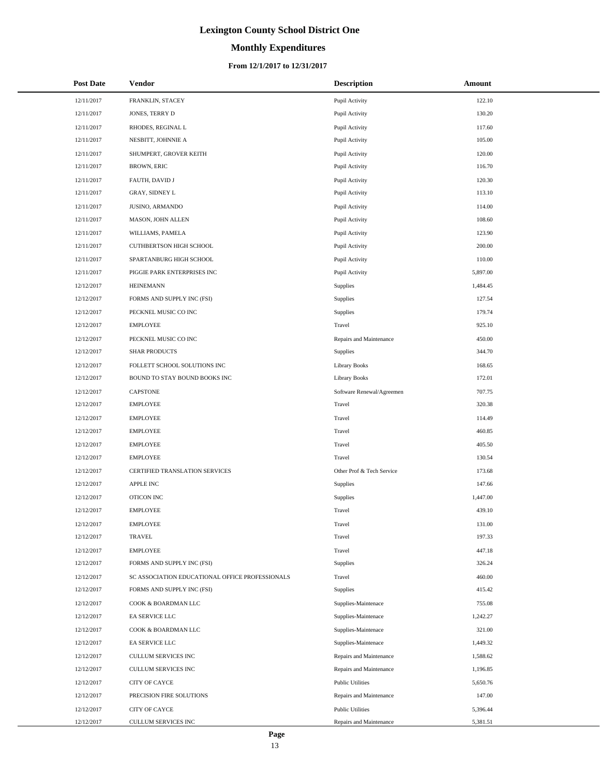# **Monthly Expenditures**

### **From 12/1/2017 to 12/31/2017**

| <b>Post Date</b> | <b>Vendor</b>                                   | <b>Description</b>        | <b>Amount</b> |
|------------------|-------------------------------------------------|---------------------------|---------------|
| 12/11/2017       | FRANKLIN, STACEY                                | Pupil Activity            | 122.10        |
| 12/11/2017       | JONES, TERRY D                                  | Pupil Activity            | 130.20        |
| 12/11/2017       | RHODES, REGINAL L                               | Pupil Activity            | 117.60        |
| 12/11/2017       | NESBITT, JOHNNIE A                              | Pupil Activity            | 105.00        |
| 12/11/2017       | SHUMPERT, GROVER KEITH                          | Pupil Activity            | 120.00        |
| 12/11/2017       | <b>BROWN, ERIC</b>                              | Pupil Activity            | 116.70        |
| 12/11/2017       | FAUTH, DAVID J                                  | Pupil Activity            | 120.30        |
| 12/11/2017       | GRAY, SIDNEY L                                  | Pupil Activity            | 113.10        |
| 12/11/2017       | JUSINO, ARMANDO                                 | Pupil Activity            | 114.00        |
| 12/11/2017       | MASON, JOHN ALLEN                               | Pupil Activity            | 108.60        |
| 12/11/2017       | WILLIAMS, PAMELA                                | Pupil Activity            | 123.90        |
| 12/11/2017       | CUTHBERTSON HIGH SCHOOL                         | Pupil Activity            | 200.00        |
| 12/11/2017       | SPARTANBURG HIGH SCHOOL                         | Pupil Activity            | 110.00        |
| 12/11/2017       | PIGGIE PARK ENTERPRISES INC                     | Pupil Activity            | 5,897.00      |
| 12/12/2017       | <b>HEINEMANN</b>                                | <b>Supplies</b>           | 1,484.45      |
| 12/12/2017       | FORMS AND SUPPLY INC (FSI)                      | <b>Supplies</b>           | 127.54        |
| 12/12/2017       | PECKNEL MUSIC CO INC                            | <b>Supplies</b>           | 179.74        |
| 12/12/2017       | <b>EMPLOYEE</b>                                 | Travel                    | 925.10        |
| 12/12/2017       | PECKNEL MUSIC CO INC                            | Repairs and Maintenance   | 450.00        |
| 12/12/2017       | <b>SHAR PRODUCTS</b>                            | <b>Supplies</b>           | 344.70        |
| 12/12/2017       | FOLLETT SCHOOL SOLUTIONS INC                    | Library Books             | 168.65        |
| 12/12/2017       | BOUND TO STAY BOUND BOOKS INC                   | Library Books             | 172.01        |
| 12/12/2017       | <b>CAPSTONE</b>                                 | Software Renewal/Agreemen | 707.75        |
| 12/12/2017       | <b>EMPLOYEE</b>                                 | Travel                    | 320.38        |
| 12/12/2017       | <b>EMPLOYEE</b>                                 | Travel                    | 114.49        |
| 12/12/2017       | <b>EMPLOYEE</b>                                 | Travel                    | 460.85        |
| 12/12/2017       | <b>EMPLOYEE</b>                                 | Travel                    | 405.50        |
| 12/12/2017       | <b>EMPLOYEE</b>                                 | Travel                    | 130.54        |
| 12/12/2017       | CERTIFIED TRANSLATION SERVICES                  | Other Prof & Tech Service | 173.68        |
| 12/12/2017       | APPLE INC                                       | Supplies                  | 147.66        |
| 12/12/2017       | OTICON INC                                      | Supplies                  | 1,447.00      |
| 12/12/2017       | <b>EMPLOYEE</b>                                 | Travel                    | 439.10        |
| 12/12/2017       | <b>EMPLOYEE</b>                                 | Travel                    | 131.00        |
| 12/12/2017       | <b>TRAVEL</b>                                   | Travel                    | 197.33        |
| 12/12/2017       | <b>EMPLOYEE</b>                                 | Travel                    | 447.18        |
| 12/12/2017       | FORMS AND SUPPLY INC (FSI)                      | Supplies                  | 326.24        |
| 12/12/2017       | SC ASSOCIATION EDUCATIONAL OFFICE PROFESSIONALS | Travel                    | 460.00        |
| 12/12/2017       | FORMS AND SUPPLY INC (FSI)                      | Supplies                  | 415.42        |
| 12/12/2017       | COOK & BOARDMAN LLC                             | Supplies-Maintenace       | 755.08        |
| 12/12/2017       | EA SERVICE LLC                                  | Supplies-Maintenace       | 1,242.27      |
| 12/12/2017       | COOK & BOARDMAN LLC                             | Supplies-Maintenace       | 321.00        |
| 12/12/2017       | EA SERVICE LLC                                  | Supplies-Maintenace       | 1,449.32      |
| 12/12/2017       | CULLUM SERVICES INC                             | Repairs and Maintenance   | 1,588.62      |
| 12/12/2017       | CULLUM SERVICES INC                             | Repairs and Maintenance   | 1,196.85      |
| 12/12/2017       | CITY OF CAYCE                                   | <b>Public Utilities</b>   | 5,650.76      |
| 12/12/2017       | PRECISION FIRE SOLUTIONS                        | Repairs and Maintenance   | 147.00        |
| 12/12/2017       | CITY OF CAYCE                                   | <b>Public Utilities</b>   | 5,396.44      |
| 12/12/2017       | CULLUM SERVICES INC                             | Repairs and Maintenance   | 5,381.51      |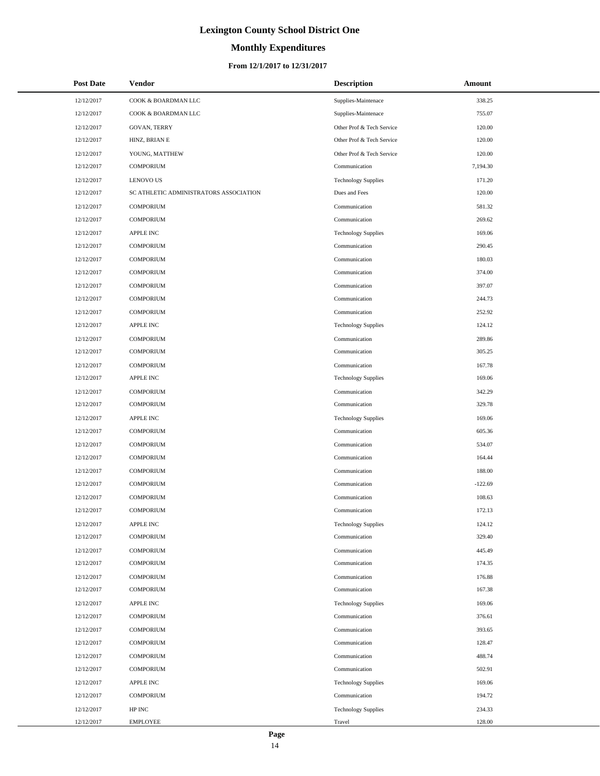# **Monthly Expenditures**

### **From 12/1/2017 to 12/31/2017**

| <b>Post Date</b> | <b>Vendor</b>                          | <b>Description</b>         | Amount    |
|------------------|----------------------------------------|----------------------------|-----------|
| 12/12/2017       | COOK & BOARDMAN LLC                    | Supplies-Maintenace        | 338.25    |
| 12/12/2017       | COOK & BOARDMAN LLC                    | Supplies-Maintenace        | 755.07    |
| 12/12/2017       | <b>GOVAN, TERRY</b>                    | Other Prof & Tech Service  | 120.00    |
| 12/12/2017       | HINZ, BRIAN E                          | Other Prof & Tech Service  | 120.00    |
| 12/12/2017       | YOUNG, MATTHEW                         | Other Prof & Tech Service  | 120.00    |
| 12/12/2017       | <b>COMPORIUM</b>                       | Communication              | 7,194.30  |
| 12/12/2017       | <b>LENOVO US</b>                       | <b>Technology Supplies</b> | 171.20    |
| 12/12/2017       | SC ATHLETIC ADMINISTRATORS ASSOCIATION | Dues and Fees              | 120.00    |
| 12/12/2017       | <b>COMPORIUM</b>                       | Communication              | 581.32    |
| 12/12/2017       | <b>COMPORIUM</b>                       | Communication              | 269.62    |
| 12/12/2017       | <b>APPLE INC</b>                       | <b>Technology Supplies</b> | 169.06    |
| 12/12/2017       | <b>COMPORIUM</b>                       | Communication              | 290.45    |
| 12/12/2017       | <b>COMPORIUM</b>                       | Communication              | 180.03    |
| 12/12/2017       | <b>COMPORIUM</b>                       | Communication              | 374.00    |
| 12/12/2017       | <b>COMPORIUM</b>                       | Communication              | 397.07    |
| 12/12/2017       | <b>COMPORIUM</b>                       | Communication              | 244.73    |
| 12/12/2017       | <b>COMPORIUM</b>                       | Communication              | 252.92    |
| 12/12/2017       | <b>APPLE INC</b>                       | <b>Technology Supplies</b> | 124.12    |
| 12/12/2017       | <b>COMPORIUM</b>                       | Communication              | 289.86    |
| 12/12/2017       | <b>COMPORIUM</b>                       | Communication              | 305.25    |
| 12/12/2017       | <b>COMPORIUM</b>                       | Communication              | 167.78    |
| 12/12/2017       | <b>APPLE INC</b>                       | <b>Technology Supplies</b> | 169.06    |
| 12/12/2017       | <b>COMPORIUM</b>                       | Communication              | 342.29    |
| 12/12/2017       | <b>COMPORIUM</b>                       | Communication              | 329.78    |
| 12/12/2017       | <b>APPLE INC</b>                       | <b>Technology Supplies</b> | 169.06    |
| 12/12/2017       | <b>COMPORIUM</b>                       | Communication              | 605.36    |
| 12/12/2017       | <b>COMPORIUM</b>                       | Communication              | 534.07    |
| 12/12/2017       | <b>COMPORIUM</b>                       | Communication              | 164.44    |
| 12/12/2017       | <b>COMPORIUM</b>                       | Communication              | 188.00    |
| 12/12/2017       | <b>COMPORIUM</b>                       | Communication              | $-122.69$ |
| 12/12/2017       | <b>COMPORIUM</b>                       | Communication              | 108.63    |
| 12/12/2017       | <b>COMPORIUM</b>                       | Communication              | 172.13    |
| 12/12/2017       | APPLE INC                              | <b>Technology Supplies</b> | 124.12    |
| 12/12/2017       | <b>COMPORIUM</b>                       | Communication              | 329.40    |
| 12/12/2017       | <b>COMPORIUM</b>                       | Communication              | 445.49    |
| 12/12/2017       | <b>COMPORIUM</b>                       | Communication              | 174.35    |
| 12/12/2017       | <b>COMPORIUM</b>                       | Communication              | 176.88    |
| 12/12/2017       | <b>COMPORIUM</b>                       | Communication              | 167.38    |
| 12/12/2017       | APPLE INC                              | <b>Technology Supplies</b> | 169.06    |
| 12/12/2017       | <b>COMPORIUM</b>                       | Communication              | 376.61    |
| 12/12/2017       | <b>COMPORIUM</b>                       | Communication              | 393.65    |
| 12/12/2017       | <b>COMPORIUM</b>                       | Communication              | 128.47    |
| 12/12/2017       | <b>COMPORIUM</b>                       | Communication              | 488.74    |
| 12/12/2017       | <b>COMPORIUM</b>                       | Communication              | 502.91    |
| 12/12/2017       | <b>APPLE INC</b>                       | <b>Technology Supplies</b> | 169.06    |
| 12/12/2017       | <b>COMPORIUM</b>                       | Communication              | 194.72    |
| 12/12/2017       | HP INC                                 | <b>Technology Supplies</b> | 234.33    |
| 12/12/2017       | <b>EMPLOYEE</b>                        | Travel                     | 128.00    |

 $\overline{a}$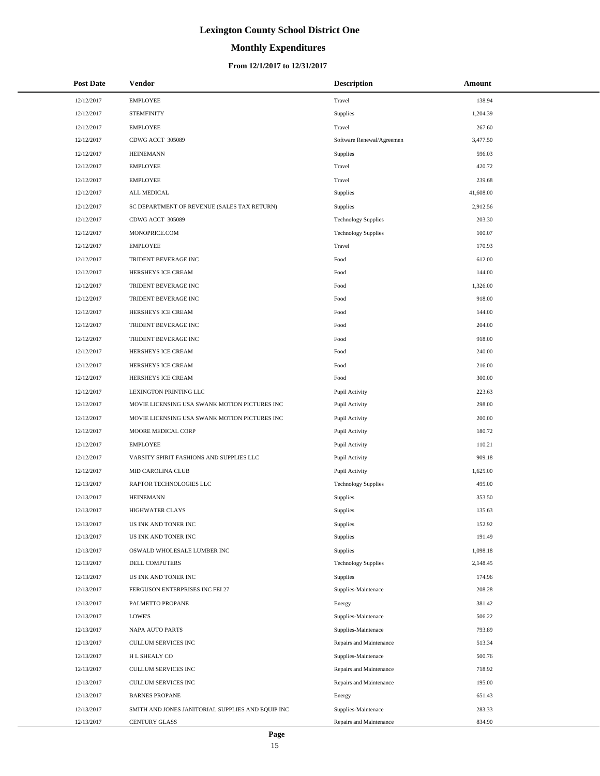# **Monthly Expenditures**

### **From 12/1/2017 to 12/31/2017**

| <b>Post Date</b> | Vendor                                            | <b>Description</b>         | Amount    |
|------------------|---------------------------------------------------|----------------------------|-----------|
| 12/12/2017       | <b>EMPLOYEE</b>                                   | Travel                     | 138.94    |
| 12/12/2017       | <b>STEMFINITY</b>                                 | Supplies                   | 1,204.39  |
| 12/12/2017       | <b>EMPLOYEE</b>                                   | Travel                     | 267.60    |
| 12/12/2017       | CDWG ACCT 305089                                  | Software Renewal/Agreemen  | 3,477.50  |
| 12/12/2017       | <b>HEINEMANN</b>                                  | Supplies                   | 596.03    |
| 12/12/2017       | <b>EMPLOYEE</b>                                   | Travel                     | 420.72    |
| 12/12/2017       | <b>EMPLOYEE</b>                                   | Travel                     | 239.68    |
| 12/12/2017       | ALL MEDICAL                                       | Supplies                   | 41,608.00 |
| 12/12/2017       | SC DEPARTMENT OF REVENUE (SALES TAX RETURN)       | Supplies                   | 2,912.56  |
| 12/12/2017       | CDWG ACCT 305089                                  | <b>Technology Supplies</b> | 203.30    |
| 12/12/2017       | MONOPRICE.COM                                     | <b>Technology Supplies</b> | 100.07    |
| 12/12/2017       | <b>EMPLOYEE</b>                                   | Travel                     | 170.93    |
| 12/12/2017       | TRIDENT BEVERAGE INC                              | Food                       | 612.00    |
| 12/12/2017       | HERSHEYS ICE CREAM                                | Food                       | 144.00    |
| 12/12/2017       | TRIDENT BEVERAGE INC                              | Food                       | 1,326.00  |
| 12/12/2017       | TRIDENT BEVERAGE INC                              | Food                       | 918.00    |
| 12/12/2017       | HERSHEYS ICE CREAM                                | Food                       | 144.00    |
| 12/12/2017       | TRIDENT BEVERAGE INC                              | Food                       | 204.00    |
| 12/12/2017       | TRIDENT BEVERAGE INC                              | Food                       | 918.00    |
| 12/12/2017       | HERSHEYS ICE CREAM                                | Food                       | 240.00    |
| 12/12/2017       | HERSHEYS ICE CREAM                                | Food                       | 216.00    |
| 12/12/2017       | HERSHEYS ICE CREAM                                | Food                       | 300.00    |
| 12/12/2017       | LEXINGTON PRINTING LLC                            | Pupil Activity             | 223.63    |
| 12/12/2017       | MOVIE LICENSING USA SWANK MOTION PICTURES INC     | Pupil Activity             | 298.00    |
| 12/12/2017       | MOVIE LICENSING USA SWANK MOTION PICTURES INC     | Pupil Activity             | 200.00    |
| 12/12/2017       | MOORE MEDICAL CORP                                | Pupil Activity             | 180.72    |
| 12/12/2017       | <b>EMPLOYEE</b>                                   | Pupil Activity             | 110.21    |
| 12/12/2017       | VARSITY SPIRIT FASHIONS AND SUPPLIES LLC          | Pupil Activity             | 909.18    |
| 12/12/2017       | MID CAROLINA CLUB                                 | Pupil Activity             | 1,625.00  |
| 12/13/2017       | RAPTOR TECHNOLOGIES LLC                           | <b>Technology Supplies</b> | 495.00    |
| 12/13/2017       | <b>HEINEMANN</b>                                  | Supplies                   | 353.50    |
| 12/13/2017       | <b>HIGHWATER CLAYS</b>                            | Supplies                   | 135.63    |
| 12/13/2017       | US INK AND TONER INC                              | Supplies                   | 152.92    |
| 12/13/2017       | US INK AND TONER INC                              | Supplies                   | 191.49    |
| 12/13/2017       | OSWALD WHOLESALE LUMBER INC                       | Supplies                   | 1,098.18  |
| 12/13/2017       | DELL COMPUTERS                                    | <b>Technology Supplies</b> | 2,148.45  |
| 12/13/2017       | US INK AND TONER INC                              | Supplies                   | 174.96    |
| 12/13/2017       | FERGUSON ENTERPRISES INC FEI 27                   | Supplies-Maintenace        | 208.28    |
| 12/13/2017       | PALMETTO PROPANE                                  | Energy                     | 381.42    |
| 12/13/2017       | LOWE'S                                            | Supplies-Maintenace        | 506.22    |
| 12/13/2017       | NAPA AUTO PARTS                                   | Supplies-Maintenace        | 793.89    |
| 12/13/2017       | CULLUM SERVICES INC                               | Repairs and Maintenance    | 513.34    |
| 12/13/2017       | H L SHEALY CO                                     | Supplies-Maintenace        | 500.76    |
| 12/13/2017       | CULLUM SERVICES INC                               | Repairs and Maintenance    | 718.92    |
| 12/13/2017       | CULLUM SERVICES INC                               | Repairs and Maintenance    | 195.00    |
| 12/13/2017       | <b>BARNES PROPANE</b>                             | Energy                     | 651.43    |
| 12/13/2017       | SMITH AND JONES JANITORIAL SUPPLIES AND EQUIP INC | Supplies-Maintenace        | 283.33    |
| 12/13/2017       | <b>CENTURY GLASS</b>                              | Repairs and Maintenance    | 834.90    |

 $\overline{a}$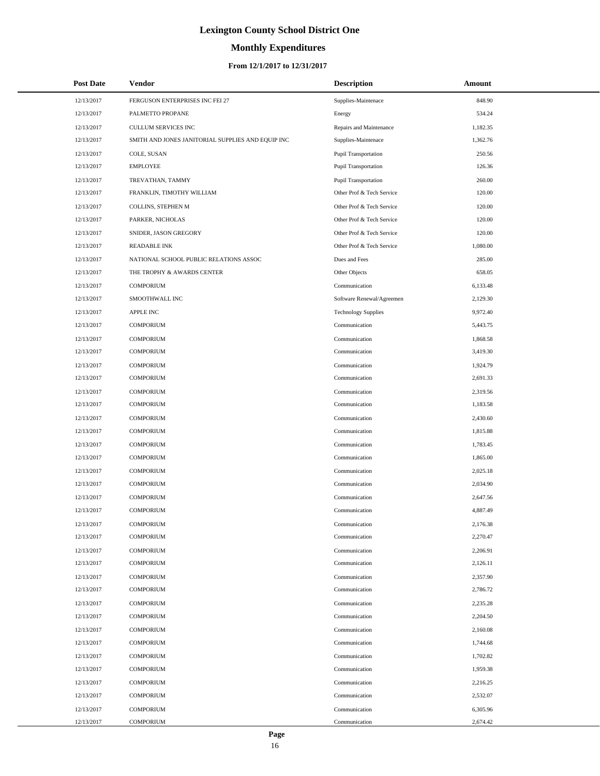# **Monthly Expenditures**

| <b>Post Date</b> | Vendor                                            | <b>Description</b>         | Amount   |
|------------------|---------------------------------------------------|----------------------------|----------|
| 12/13/2017       | FERGUSON ENTERPRISES INC FEI 27                   | Supplies-Maintenace        | 848.90   |
| 12/13/2017       | PALMETTO PROPANE                                  | Energy                     | 534.24   |
| 12/13/2017       | <b>CULLUM SERVICES INC</b>                        | Repairs and Maintenance    | 1,182.35 |
| 12/13/2017       | SMITH AND JONES JANITORIAL SUPPLIES AND EQUIP INC | Supplies-Maintenace        | 1,362.76 |
| 12/13/2017       | COLE, SUSAN                                       | Pupil Transportation       | 250.56   |
| 12/13/2017       | <b>EMPLOYEE</b>                                   | Pupil Transportation       | 126.36   |
| 12/13/2017       | TREVATHAN, TAMMY                                  | Pupil Transportation       | 260.00   |
| 12/13/2017       | FRANKLIN, TIMOTHY WILLIAM                         | Other Prof & Tech Service  | 120.00   |
| 12/13/2017       | COLLINS, STEPHEN M                                | Other Prof & Tech Service  | 120.00   |
| 12/13/2017       | PARKER, NICHOLAS                                  | Other Prof & Tech Service  | 120.00   |
| 12/13/2017       | SNIDER, JASON GREGORY                             | Other Prof & Tech Service  | 120.00   |
| 12/13/2017       | <b>READABLE INK</b>                               | Other Prof & Tech Service  | 1,080.00 |
| 12/13/2017       | NATIONAL SCHOOL PUBLIC RELATIONS ASSOC            | Dues and Fees              | 285.00   |
| 12/13/2017       | THE TROPHY & AWARDS CENTER                        | Other Objects              | 658.05   |
| 12/13/2017       | <b>COMPORIUM</b>                                  | Communication              | 6,133.48 |
| 12/13/2017       | SMOOTHWALL INC                                    | Software Renewal/Agreemen  | 2,129.30 |
| 12/13/2017       | <b>APPLE INC</b>                                  | <b>Technology Supplies</b> | 9,972.40 |
| 12/13/2017       | <b>COMPORIUM</b>                                  | Communication              | 5,443.75 |
| 12/13/2017       | <b>COMPORIUM</b>                                  | Communication              | 1,868.58 |
| 12/13/2017       | <b>COMPORIUM</b>                                  | Communication              | 3,419.30 |
| 12/13/2017       | <b>COMPORIUM</b>                                  | Communication              | 1,924.79 |
| 12/13/2017       | <b>COMPORIUM</b>                                  | Communication              | 2,691.33 |
| 12/13/2017       | <b>COMPORIUM</b>                                  | Communication              | 2,319.56 |
| 12/13/2017       | <b>COMPORIUM</b>                                  | Communication              | 1,183.58 |
| 12/13/2017       | <b>COMPORIUM</b>                                  | Communication              | 2,430.60 |
| 12/13/2017       | <b>COMPORIUM</b>                                  | Communication              | 1,815.88 |
| 12/13/2017       | <b>COMPORIUM</b>                                  | Communication              | 1,783.45 |
| 12/13/2017       | <b>COMPORIUM</b>                                  | Communication              | 1,865.00 |
| 12/13/2017       | <b>COMPORIUM</b>                                  | Communication              | 2,025.18 |
| 12/13/2017       | <b>COMPORIUM</b>                                  | Communication              | 2,034.90 |
| 12/13/2017       | <b>COMPORIUM</b>                                  | Communication              | 2,647.56 |
| 12/13/2017       | <b>COMPORIUM</b>                                  | Communication              | 4,887.49 |
| 12/13/2017       | <b>COMPORIUM</b>                                  | Communication              | 2,176.38 |
| 12/13/2017       | <b>COMPORIUM</b>                                  | Communication              | 2,270.47 |
| 12/13/2017       | <b>COMPORIUM</b>                                  | Communication              | 2,206.91 |
| 12/13/2017       | <b>COMPORIUM</b>                                  | Communication              | 2,126.11 |
| 12/13/2017       | <b>COMPORIUM</b>                                  | Communication              | 2,357.90 |
| 12/13/2017       | <b>COMPORIUM</b>                                  | Communication              | 2,786.72 |
| 12/13/2017       | <b>COMPORIUM</b>                                  | Communication              | 2,235.28 |
| 12/13/2017       | <b>COMPORIUM</b>                                  | Communication              | 2,204.50 |
| 12/13/2017       | <b>COMPORIUM</b>                                  | Communication              | 2,160.08 |
| 12/13/2017       | <b>COMPORIUM</b>                                  | Communication              | 1,744.68 |
| 12/13/2017       | <b>COMPORIUM</b>                                  | Communication              | 1,702.82 |
| 12/13/2017       | <b>COMPORIUM</b>                                  | Communication              | 1,959.38 |
| 12/13/2017       | <b>COMPORIUM</b>                                  | Communication              | 2,216.25 |
| 12/13/2017       | <b>COMPORIUM</b>                                  | Communication              | 2,532.07 |
| 12/13/2017       | <b>COMPORIUM</b>                                  | Communication              | 6,305.96 |
| 12/13/2017       | COMPORIUM                                         | Communication              | 2,674.42 |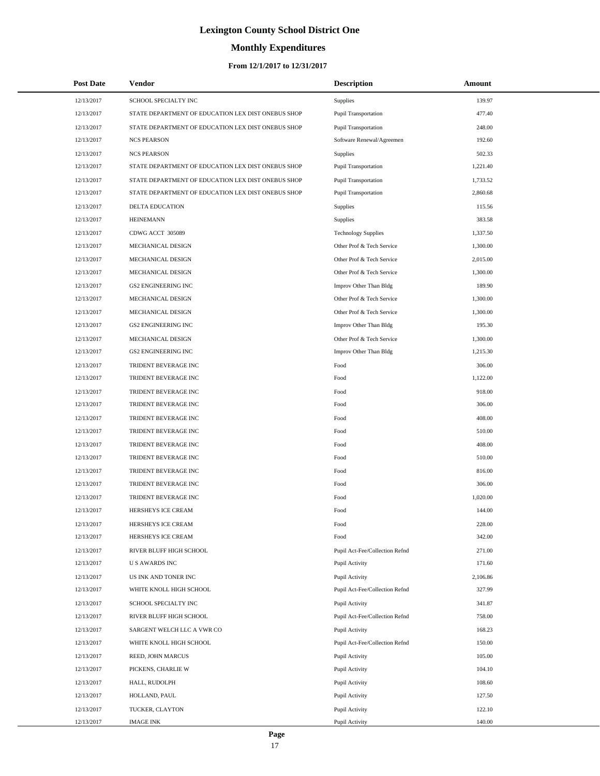# **Monthly Expenditures**

### **From 12/1/2017 to 12/31/2017**

| <b>Post Date</b> | Vendor                                             | <b>Description</b>             | Amount   |
|------------------|----------------------------------------------------|--------------------------------|----------|
| 12/13/2017       | SCHOOL SPECIALTY INC                               | Supplies                       | 139.97   |
| 12/13/2017       | STATE DEPARTMENT OF EDUCATION LEX DIST ONEBUS SHOP | Pupil Transportation           | 477.40   |
| 12/13/2017       | STATE DEPARTMENT OF EDUCATION LEX DIST ONEBUS SHOP | Pupil Transportation           | 248.00   |
| 12/13/2017       | <b>NCS PEARSON</b>                                 | Software Renewal/Agreemen      | 192.60   |
| 12/13/2017       | <b>NCS PEARSON</b>                                 | <b>Supplies</b>                | 502.33   |
| 12/13/2017       | STATE DEPARTMENT OF EDUCATION LEX DIST ONEBUS SHOP | Pupil Transportation           | 1,221.40 |
| 12/13/2017       | STATE DEPARTMENT OF EDUCATION LEX DIST ONEBUS SHOP | <b>Pupil Transportation</b>    | 1,733.52 |
| 12/13/2017       | STATE DEPARTMENT OF EDUCATION LEX DIST ONEBUS SHOP | Pupil Transportation           | 2,860.68 |
| 12/13/2017       | DELTA EDUCATION                                    | <b>Supplies</b>                | 115.56   |
| 12/13/2017       | <b>HEINEMANN</b>                                   | <b>Supplies</b>                | 383.58   |
| 12/13/2017       | CDWG ACCT 305089                                   | <b>Technology Supplies</b>     | 1,337.50 |
| 12/13/2017       | MECHANICAL DESIGN                                  | Other Prof & Tech Service      | 1,300.00 |
| 12/13/2017       | MECHANICAL DESIGN                                  | Other Prof & Tech Service      | 2,015.00 |
| 12/13/2017       | MECHANICAL DESIGN                                  | Other Prof & Tech Service      | 1,300.00 |
| 12/13/2017       | <b>GS2 ENGINEERING INC</b>                         | Improv Other Than Bldg         | 189.90   |
| 12/13/2017       | MECHANICAL DESIGN                                  | Other Prof & Tech Service      | 1,300.00 |
| 12/13/2017       | MECHANICAL DESIGN                                  | Other Prof & Tech Service      | 1,300.00 |
| 12/13/2017       | <b>GS2 ENGINEERING INC</b>                         | Improv Other Than Bldg         | 195.30   |
| 12/13/2017       | MECHANICAL DESIGN                                  | Other Prof & Tech Service      | 1,300.00 |
| 12/13/2017       | <b>GS2 ENGINEERING INC</b>                         | Improv Other Than Bldg         | 1,215.30 |
| 12/13/2017       | TRIDENT BEVERAGE INC                               | Food                           | 306.00   |
| 12/13/2017       | TRIDENT BEVERAGE INC                               | Food                           | 1,122.00 |
| 12/13/2017       | TRIDENT BEVERAGE INC                               | Food                           | 918.00   |
| 12/13/2017       | TRIDENT BEVERAGE INC                               | Food                           | 306.00   |
| 12/13/2017       | TRIDENT BEVERAGE INC                               | Food                           | 408.00   |
| 12/13/2017       | TRIDENT BEVERAGE INC                               | Food                           | 510.00   |
| 12/13/2017       | TRIDENT BEVERAGE INC                               | Food                           | 408.00   |
| 12/13/2017       | TRIDENT BEVERAGE INC                               | Food                           | 510.00   |
| 12/13/2017       | TRIDENT BEVERAGE INC                               | Food                           | 816.00   |
| 12/13/2017       | TRIDENT BEVERAGE INC                               | Food                           | 306.00   |
| 12/13/2017       | TRIDENT BEVERAGE INC                               | Food                           | 1,020.00 |
| 12/13/2017       | HERSHEYS ICE CREAM                                 | Food                           | 144.00   |
| 12/13/2017       | HERSHEYS ICE CREAM                                 | Food                           | 228.00   |
| 12/13/2017       | HERSHEYS ICE CREAM                                 | Food                           | 342.00   |
| 12/13/2017       | RIVER BLUFF HIGH SCHOOL                            | Pupil Act-Fee/Collection Refnd | 271.00   |
| 12/13/2017       | <b>US AWARDS INC</b>                               | Pupil Activity                 | 171.60   |
| 12/13/2017       | US INK AND TONER INC                               | Pupil Activity                 | 2,106.86 |
| 12/13/2017       | WHITE KNOLL HIGH SCHOOL                            | Pupil Act-Fee/Collection Refnd | 327.99   |
| 12/13/2017       | SCHOOL SPECIALTY INC                               | Pupil Activity                 | 341.87   |
| 12/13/2017       | RIVER BLUFF HIGH SCHOOL                            | Pupil Act-Fee/Collection Refnd | 758.00   |
| 12/13/2017       | SARGENT WELCH LLC A VWR CO                         | Pupil Activity                 | 168.23   |
| 12/13/2017       | WHITE KNOLL HIGH SCHOOL                            | Pupil Act-Fee/Collection Refnd | 150.00   |
| 12/13/2017       | REED, JOHN MARCUS                                  | Pupil Activity                 | 105.00   |
| 12/13/2017       | PICKENS, CHARLIE W                                 | Pupil Activity                 | 104.10   |
| 12/13/2017       | HALL, RUDOLPH                                      | Pupil Activity                 | 108.60   |
| 12/13/2017       | HOLLAND, PAUL                                      | Pupil Activity                 | 127.50   |
| 12/13/2017       | TUCKER, CLAYTON                                    | Pupil Activity                 | 122.10   |
| 12/13/2017       | IMAGE INK                                          | Pupil Activity                 | 140.00   |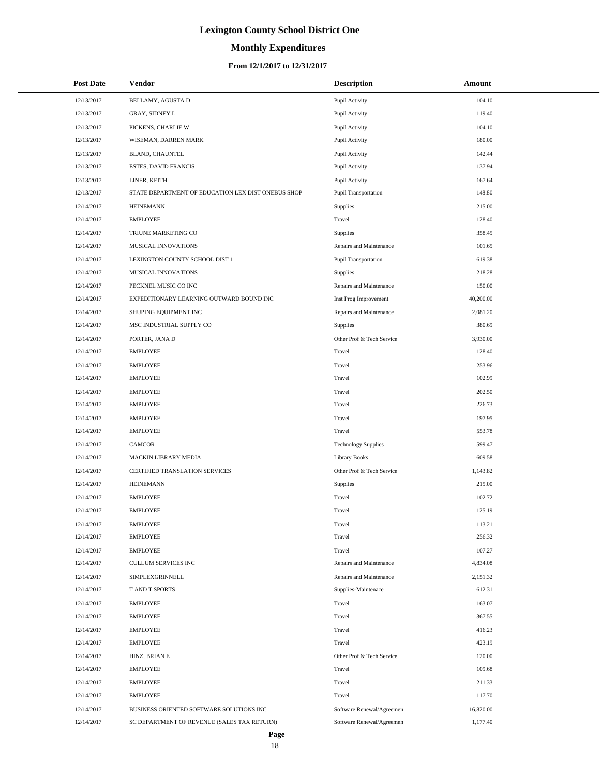# **Monthly Expenditures**

### **From 12/1/2017 to 12/31/2017**

| <b>Post Date</b> | Vendor                                             | <b>Description</b>         | Amount    |
|------------------|----------------------------------------------------|----------------------------|-----------|
| 12/13/2017       | BELLAMY, AGUSTA D                                  | Pupil Activity             | 104.10    |
| 12/13/2017       | GRAY, SIDNEY L                                     | Pupil Activity             | 119.40    |
| 12/13/2017       | PICKENS, CHARLIE W                                 | Pupil Activity             | 104.10    |
| 12/13/2017       | WISEMAN, DARREN MARK                               | Pupil Activity             | 180.00    |
| 12/13/2017       | BLAND, CHAUNTEL                                    | Pupil Activity             | 142.44    |
| 12/13/2017       | ESTES, DAVID FRANCIS                               | Pupil Activity             | 137.94    |
| 12/13/2017       | LINER, KEITH                                       | Pupil Activity             | 167.64    |
| 12/13/2017       | STATE DEPARTMENT OF EDUCATION LEX DIST ONEBUS SHOP | Pupil Transportation       | 148.80    |
| 12/14/2017       | <b>HEINEMANN</b>                                   | Supplies                   | 215.00    |
| 12/14/2017       | <b>EMPLOYEE</b>                                    | Travel                     | 128.40    |
| 12/14/2017       | TRIUNE MARKETING CO                                | Supplies                   | 358.45    |
| 12/14/2017       | MUSICAL INNOVATIONS                                | Repairs and Maintenance    | 101.65    |
| 12/14/2017       | LEXINGTON COUNTY SCHOOL DIST 1                     | Pupil Transportation       | 619.38    |
| 12/14/2017       | MUSICAL INNOVATIONS                                | Supplies                   | 218.28    |
| 12/14/2017       | PECKNEL MUSIC CO INC                               | Repairs and Maintenance    | 150.00    |
| 12/14/2017       | EXPEDITIONARY LEARNING OUTWARD BOUND INC           | Inst Prog Improvement      | 40,200.00 |
| 12/14/2017       | SHUPING EQUIPMENT INC                              | Repairs and Maintenance    | 2,081.20  |
| 12/14/2017       | MSC INDUSTRIAL SUPPLY CO                           | <b>Supplies</b>            | 380.69    |
| 12/14/2017       | PORTER, JANA D                                     | Other Prof & Tech Service  | 3,930.00  |
| 12/14/2017       | <b>EMPLOYEE</b>                                    | Travel                     | 128.40    |
| 12/14/2017       | <b>EMPLOYEE</b>                                    | Travel                     | 253.96    |
| 12/14/2017       | <b>EMPLOYEE</b>                                    | Travel                     | 102.99    |
| 12/14/2017       | <b>EMPLOYEE</b>                                    | Travel                     | 202.50    |
| 12/14/2017       | <b>EMPLOYEE</b>                                    | Travel                     | 226.73    |
| 12/14/2017       | <b>EMPLOYEE</b>                                    | Travel                     | 197.95    |
| 12/14/2017       | <b>EMPLOYEE</b>                                    | Travel                     | 553.78    |
| 12/14/2017       | <b>CAMCOR</b>                                      | <b>Technology Supplies</b> | 599.47    |
| 12/14/2017       | <b>MACKIN LIBRARY MEDIA</b>                        | Library Books              | 609.58    |
| 12/14/2017       | CERTIFIED TRANSLATION SERVICES                     | Other Prof & Tech Service  | 1,143.82  |
| 12/14/2017       | <b>HEINEMANN</b>                                   | Supplies                   | 215.00    |
| 12/14/2017       | <b>EMPLOYEE</b>                                    | Travel                     | 102.72    |
| 12/14/2017       | <b>EMPLOYEE</b>                                    | Travel                     | 125.19    |
| 12/14/2017       | <b>EMPLOYEE</b>                                    | Travel                     | 113.21    |
| 12/14/2017       | <b>EMPLOYEE</b>                                    | Travel                     | 256.32    |
| 12/14/2017       | <b>EMPLOYEE</b>                                    | Travel                     | 107.27    |
| 12/14/2017       | CULLUM SERVICES INC                                | Repairs and Maintenance    | 4,834.08  |
| 12/14/2017       | SIMPLEXGRINNELL                                    | Repairs and Maintenance    | 2,151.32  |
| 12/14/2017       | T AND T SPORTS                                     | Supplies-Maintenace        | 612.31    |
| 12/14/2017       | <b>EMPLOYEE</b>                                    | Travel                     | 163.07    |
| 12/14/2017       | <b>EMPLOYEE</b>                                    | Travel                     | 367.55    |
| 12/14/2017       | <b>EMPLOYEE</b>                                    | Travel                     | 416.23    |
| 12/14/2017       | <b>EMPLOYEE</b>                                    | Travel                     | 423.19    |
| 12/14/2017       | HINZ, BRIAN E                                      | Other Prof & Tech Service  | 120.00    |
| 12/14/2017       | <b>EMPLOYEE</b>                                    | Travel                     | 109.68    |
| 12/14/2017       | <b>EMPLOYEE</b>                                    | Travel                     | 211.33    |
| 12/14/2017       | <b>EMPLOYEE</b>                                    | Travel                     | 117.70    |
| 12/14/2017       | BUSINESS ORIENTED SOFTWARE SOLUTIONS INC           | Software Renewal/Agreemen  | 16,820.00 |
| 12/14/2017       | SC DEPARTMENT OF REVENUE (SALES TAX RETURN)        | Software Renewal/Agreemen  | 1,177.40  |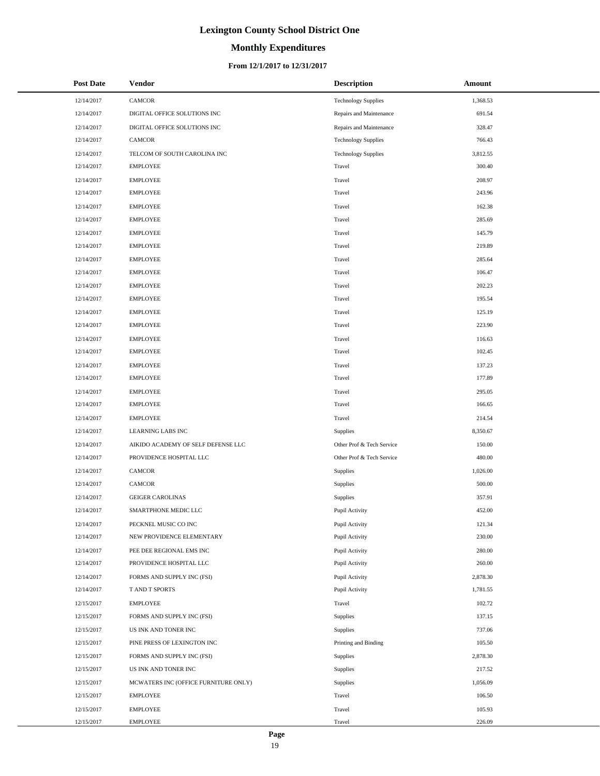# **Monthly Expenditures**

### **From 12/1/2017 to 12/31/2017**

| <b>Post Date</b> | Vendor                               | <b>Description</b>         | Amount   |
|------------------|--------------------------------------|----------------------------|----------|
| 12/14/2017       | CAMCOR                               | <b>Technology Supplies</b> | 1,368.53 |
| 12/14/2017       | DIGITAL OFFICE SOLUTIONS INC         | Repairs and Maintenance    | 691.54   |
| 12/14/2017       | DIGITAL OFFICE SOLUTIONS INC         | Repairs and Maintenance    | 328.47   |
| 12/14/2017       | <b>CAMCOR</b>                        | <b>Technology Supplies</b> | 766.43   |
| 12/14/2017       | TELCOM OF SOUTH CAROLINA INC         | <b>Technology Supplies</b> | 3,812.55 |
| 12/14/2017       | <b>EMPLOYEE</b>                      | Travel                     | 300.40   |
| 12/14/2017       | <b>EMPLOYEE</b>                      | Travel                     | 208.97   |
| 12/14/2017       | <b>EMPLOYEE</b>                      | Travel                     | 243.96   |
| 12/14/2017       | <b>EMPLOYEE</b>                      | Travel                     | 162.38   |
| 12/14/2017       | <b>EMPLOYEE</b>                      | Travel                     | 285.69   |
| 12/14/2017       | <b>EMPLOYEE</b>                      | Travel                     | 145.79   |
| 12/14/2017       | <b>EMPLOYEE</b>                      | Travel                     | 219.89   |
| 12/14/2017       | <b>EMPLOYEE</b>                      | Travel                     | 285.64   |
| 12/14/2017       | <b>EMPLOYEE</b>                      | Travel                     | 106.47   |
| 12/14/2017       | <b>EMPLOYEE</b>                      | Travel                     | 202.23   |
| 12/14/2017       | <b>EMPLOYEE</b>                      | Travel                     | 195.54   |
| 12/14/2017       | <b>EMPLOYEE</b>                      | Travel                     | 125.19   |
| 12/14/2017       | <b>EMPLOYEE</b>                      | Travel                     | 223.90   |
| 12/14/2017       | <b>EMPLOYEE</b>                      | Travel                     | 116.63   |
| 12/14/2017       | <b>EMPLOYEE</b>                      | Travel                     | 102.45   |
| 12/14/2017       | <b>EMPLOYEE</b>                      | Travel                     | 137.23   |
| 12/14/2017       | <b>EMPLOYEE</b>                      | Travel                     | 177.89   |
| 12/14/2017       | <b>EMPLOYEE</b>                      | Travel                     | 295.05   |
| 12/14/2017       | <b>EMPLOYEE</b>                      | Travel                     | 166.65   |
| 12/14/2017       | <b>EMPLOYEE</b>                      | Travel                     | 214.54   |
| 12/14/2017       | LEARNING LABS INC                    | Supplies                   | 8,350.67 |
| 12/14/2017       | AIKIDO ACADEMY OF SELF DEFENSE LLC   | Other Prof & Tech Service  | 150.00   |
| 12/14/2017       | PROVIDENCE HOSPITAL LLC              | Other Prof & Tech Service  | 480.00   |
| 12/14/2017       | CAMCOR                               | Supplies                   | 1,026.00 |
| 12/14/2017       | <b>CAMCOR</b>                        | Supplies                   | 500.00   |
| 12/14/2017       | <b>GEIGER CAROLINAS</b>              | Supplies                   | 357.91   |
| 12/14/2017       | SMARTPHONE MEDIC LLC                 | Pupil Activity             | 452.00   |
| 12/14/2017       | PECKNEL MUSIC CO INC                 | Pupil Activity             | 121.34   |
| 12/14/2017       | NEW PROVIDENCE ELEMENTARY            | Pupil Activity             | 230.00   |
| 12/14/2017       | PEE DEE REGIONAL EMS INC             | Pupil Activity             | 280.00   |
| 12/14/2017       | PROVIDENCE HOSPITAL LLC              | Pupil Activity             | 260.00   |
| 12/14/2017       | FORMS AND SUPPLY INC (FSI)           | Pupil Activity             | 2,878.30 |
| 12/14/2017       | T AND T SPORTS                       | Pupil Activity             | 1,781.55 |
| 12/15/2017       | <b>EMPLOYEE</b>                      | Travel                     | 102.72   |
| 12/15/2017       | FORMS AND SUPPLY INC (FSI)           | Supplies                   | 137.15   |
| 12/15/2017       | US INK AND TONER INC                 | Supplies                   | 737.06   |
| 12/15/2017       | PINE PRESS OF LEXINGTON INC          | Printing and Binding       | 105.50   |
| 12/15/2017       | FORMS AND SUPPLY INC (FSI)           | Supplies                   | 2,878.30 |
| 12/15/2017       | US INK AND TONER INC                 | Supplies                   | 217.52   |
| 12/15/2017       | MCWATERS INC (OFFICE FURNITURE ONLY) | Supplies                   | 1,056.09 |
| 12/15/2017       | <b>EMPLOYEE</b>                      | Travel                     | 106.50   |
| 12/15/2017       | <b>EMPLOYEE</b>                      | Travel                     | 105.93   |
| 12/15/2017       | <b>EMPLOYEE</b>                      | Travel                     | 226.09   |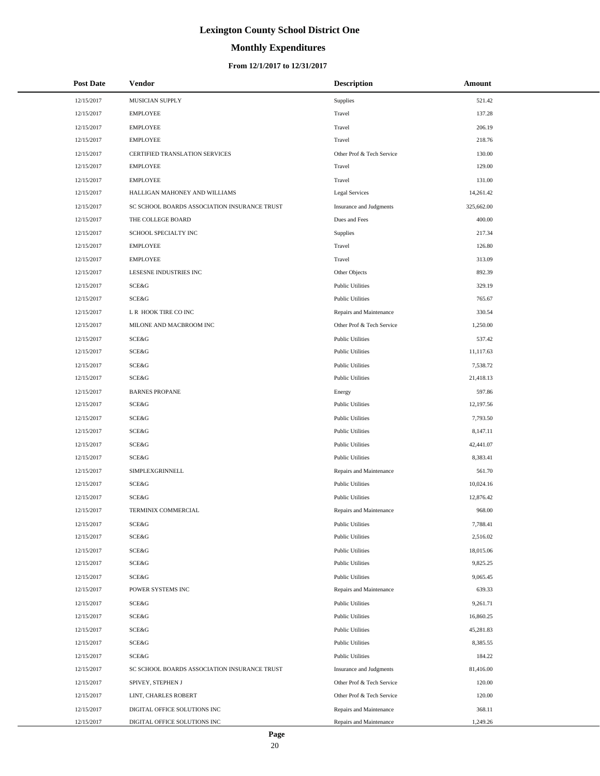# **Monthly Expenditures**

### **From 12/1/2017 to 12/31/2017**

| <b>Post Date</b> | Vendor                                       | <b>Description</b>        | Amount     |
|------------------|----------------------------------------------|---------------------------|------------|
| 12/15/2017       | MUSICIAN SUPPLY                              | Supplies                  | 521.42     |
| 12/15/2017       | <b>EMPLOYEE</b>                              | Travel                    | 137.28     |
| 12/15/2017       | <b>EMPLOYEE</b>                              | Travel                    | 206.19     |
| 12/15/2017       | <b>EMPLOYEE</b>                              | Travel                    | 218.76     |
| 12/15/2017       | CERTIFIED TRANSLATION SERVICES               | Other Prof & Tech Service | 130.00     |
| 12/15/2017       | <b>EMPLOYEE</b>                              | Travel                    | 129.00     |
| 12/15/2017       | <b>EMPLOYEE</b>                              | Travel                    | 131.00     |
| 12/15/2017       | HALLIGAN MAHONEY AND WILLIAMS                | <b>Legal Services</b>     | 14,261.42  |
| 12/15/2017       | SC SCHOOL BOARDS ASSOCIATION INSURANCE TRUST | Insurance and Judgments   | 325,662.00 |
| 12/15/2017       | THE COLLEGE BOARD                            | Dues and Fees             | 400.00     |
| 12/15/2017       | SCHOOL SPECIALTY INC                         | Supplies                  | 217.34     |
| 12/15/2017       | <b>EMPLOYEE</b>                              | Travel                    | 126.80     |
| 12/15/2017       | <b>EMPLOYEE</b>                              | Travel                    | 313.09     |
| 12/15/2017       | LESESNE INDUSTRIES INC                       | Other Objects             | 892.39     |
| 12/15/2017       | SCE&G                                        | <b>Public Utilities</b>   | 329.19     |
| 12/15/2017       | SCE&G                                        | <b>Public Utilities</b>   | 765.67     |
| 12/15/2017       | L R HOOK TIRE CO INC                         | Repairs and Maintenance   | 330.54     |
| 12/15/2017       | MILONE AND MACBROOM INC                      | Other Prof & Tech Service | 1,250.00   |
| 12/15/2017       | SCE&G                                        | <b>Public Utilities</b>   | 537.42     |
| 12/15/2017       | SCE&G                                        | <b>Public Utilities</b>   | 11,117.63  |
| 12/15/2017       | <b>SCE&amp;G</b>                             | <b>Public Utilities</b>   | 7,538.72   |
| 12/15/2017       | SCE&G                                        | <b>Public Utilities</b>   | 21,418.13  |
| 12/15/2017       | <b>BARNES PROPANE</b>                        | Energy                    | 597.86     |
| 12/15/2017       | SCE&G                                        | <b>Public Utilities</b>   | 12,197.56  |
| 12/15/2017       | SCE&G                                        | <b>Public Utilities</b>   | 7,793.50   |
| 12/15/2017       | SCE&G                                        | <b>Public Utilities</b>   | 8,147.11   |
| 12/15/2017       | <b>SCE&amp;G</b>                             | <b>Public Utilities</b>   | 42,441.07  |
| 12/15/2017       | SCE&G                                        | <b>Public Utilities</b>   | 8,383.41   |
| 12/15/2017       | SIMPLEXGRINNELL                              | Repairs and Maintenance   | 561.70     |
| 12/15/2017       | SCE&G                                        | <b>Public Utilities</b>   | 10,024.16  |
| 12/15/2017       | SCE&G                                        | <b>Public Utilities</b>   | 12,876.42  |
| 12/15/2017       | TERMINIX COMMERCIAL                          | Repairs and Maintenance   | 968.00     |
| 12/15/2017       | SCE&G                                        | <b>Public Utilities</b>   | 7,788.41   |
| 12/15/2017       | SCE&G                                        | <b>Public Utilities</b>   | 2,516.02   |
| 12/15/2017       | SCE&G                                        | <b>Public Utilities</b>   | 18,015.06  |
| 12/15/2017       | SCE&G                                        | <b>Public Utilities</b>   | 9,825.25   |
| 12/15/2017       | SCE&G                                        | <b>Public Utilities</b>   | 9,065.45   |
| 12/15/2017       | POWER SYSTEMS INC                            | Repairs and Maintenance   | 639.33     |
| 12/15/2017       | SCE&G                                        | <b>Public Utilities</b>   | 9,261.71   |
| 12/15/2017       | SCE&G                                        | <b>Public Utilities</b>   | 16,860.25  |
| 12/15/2017       | SCE&G                                        | <b>Public Utilities</b>   | 45,281.83  |
| 12/15/2017       | SCE&G                                        | <b>Public Utilities</b>   | 8,385.55   |
| 12/15/2017       | SCE&G                                        | <b>Public Utilities</b>   | 184.22     |
| 12/15/2017       | SC SCHOOL BOARDS ASSOCIATION INSURANCE TRUST | Insurance and Judgments   | 81,416.00  |
| 12/15/2017       | SPIVEY, STEPHEN J                            | Other Prof & Tech Service | 120.00     |
| 12/15/2017       | LINT, CHARLES ROBERT                         | Other Prof & Tech Service | 120.00     |
| 12/15/2017       | DIGITAL OFFICE SOLUTIONS INC                 | Repairs and Maintenance   | 368.11     |
| 12/15/2017       | DIGITAL OFFICE SOLUTIONS INC                 | Repairs and Maintenance   | 1,249.26   |

÷.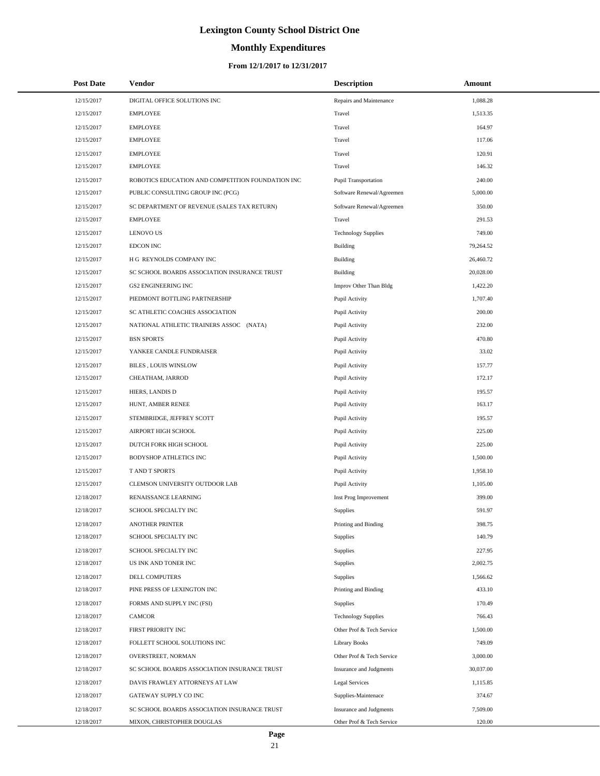# **Monthly Expenditures**

### **From 12/1/2017 to 12/31/2017**

| <b>Post Date</b> | Vendor                                            | <b>Description</b>         | Amount    |
|------------------|---------------------------------------------------|----------------------------|-----------|
| 12/15/2017       | DIGITAL OFFICE SOLUTIONS INC                      | Repairs and Maintenance    | 1,088.28  |
| 12/15/2017       | <b>EMPLOYEE</b>                                   | Travel                     | 1,513.35  |
| 12/15/2017       | <b>EMPLOYEE</b>                                   | Travel                     | 164.97    |
| 12/15/2017       | <b>EMPLOYEE</b>                                   | Travel                     | 117.06    |
| 12/15/2017       | <b>EMPLOYEE</b>                                   | Travel                     | 120.91    |
| 12/15/2017       | <b>EMPLOYEE</b>                                   | Travel                     | 146.32    |
| 12/15/2017       | ROBOTICS EDUCATION AND COMPETITION FOUNDATION INC | Pupil Transportation       | 240.00    |
| 12/15/2017       | PUBLIC CONSULTING GROUP INC (PCG)                 | Software Renewal/Agreemen  | 5,000.00  |
| 12/15/2017       | SC DEPARTMENT OF REVENUE (SALES TAX RETURN)       | Software Renewal/Agreemen  | 350.00    |
| 12/15/2017       | <b>EMPLOYEE</b>                                   | Travel                     | 291.53    |
| 12/15/2017       | <b>LENOVO US</b>                                  | <b>Technology Supplies</b> | 749.00    |
| 12/15/2017       | EDCON INC                                         | <b>Building</b>            | 79,264.52 |
| 12/15/2017       | H G REYNOLDS COMPANY INC                          | <b>Building</b>            | 26,460.72 |
| 12/15/2017       | SC SCHOOL BOARDS ASSOCIATION INSURANCE TRUST      | Building                   | 20,028.00 |
| 12/15/2017       | <b>GS2 ENGINEERING INC</b>                        | Improv Other Than Bldg     | 1,422.20  |
| 12/15/2017       | PIEDMONT BOTTLING PARTNERSHIP                     | Pupil Activity             | 1,707.40  |
| 12/15/2017       | SC ATHLETIC COACHES ASSOCIATION                   | Pupil Activity             | 200.00    |
| 12/15/2017       | NATIONAL ATHLETIC TRAINERS ASSOC (NATA)           | Pupil Activity             | 232.00    |
| 12/15/2017       | <b>BSN SPORTS</b>                                 | Pupil Activity             | 470.80    |
| 12/15/2017       | YANKEE CANDLE FUNDRAISER                          | Pupil Activity             | 33.02     |
| 12/15/2017       | <b>BILES, LOUIS WINSLOW</b>                       | Pupil Activity             | 157.77    |
| 12/15/2017       | CHEATHAM, JARROD                                  | Pupil Activity             | 172.17    |
| 12/15/2017       | HIERS, LANDIS D                                   | Pupil Activity             | 195.57    |
| 12/15/2017       | HUNT, AMBER RENEE                                 | Pupil Activity             | 163.17    |
| 12/15/2017       | STEMBRIDGE, JEFFREY SCOTT                         | Pupil Activity             | 195.57    |
| 12/15/2017       | AIRPORT HIGH SCHOOL                               | Pupil Activity             | 225.00    |
| 12/15/2017       | DUTCH FORK HIGH SCHOOL                            | Pupil Activity             | 225.00    |
| 12/15/2017       | <b>BODYSHOP ATHLETICS INC</b>                     | Pupil Activity             | 1,500.00  |
| 12/15/2017       | T AND T SPORTS                                    | Pupil Activity             | 1,958.10  |
| 12/15/2017       | CLEMSON UNIVERSITY OUTDOOR LAB                    | Pupil Activity             | 1,105.00  |
| 12/18/2017       | RENAISSANCE LEARNING                              | Inst Prog Improvement      | 399.00    |
| 12/18/2017       | SCHOOL SPECIALTY INC                              | <b>Supplies</b>            | 591.97    |
| 12/18/2017       | <b>ANOTHER PRINTER</b>                            | Printing and Binding       | 398.75    |
| 12/18/2017       | SCHOOL SPECIALTY INC                              | Supplies                   | 140.79    |
| 12/18/2017       | SCHOOL SPECIALTY INC                              | Supplies                   | 227.95    |
| 12/18/2017       | US INK AND TONER INC                              | Supplies                   | 2,002.75  |
| 12/18/2017       | DELL COMPUTERS                                    | Supplies                   | 1,566.62  |
| 12/18/2017       | PINE PRESS OF LEXINGTON INC                       | Printing and Binding       | 433.10    |
| 12/18/2017       | FORMS AND SUPPLY INC (FSI)                        | Supplies                   | 170.49    |
| 12/18/2017       | CAMCOR                                            | <b>Technology Supplies</b> | 766.43    |
| 12/18/2017       | FIRST PRIORITY INC                                | Other Prof & Tech Service  | 1,500.00  |
| 12/18/2017       | FOLLETT SCHOOL SOLUTIONS INC                      | <b>Library Books</b>       | 749.09    |
| 12/18/2017       | OVERSTREET, NORMAN                                | Other Prof & Tech Service  | 3,000.00  |
| 12/18/2017       | SC SCHOOL BOARDS ASSOCIATION INSURANCE TRUST      | Insurance and Judgments    | 30,037.00 |
| 12/18/2017       | DAVIS FRAWLEY ATTORNEYS AT LAW                    | Legal Services             | 1,115.85  |
| 12/18/2017       | GATEWAY SUPPLY CO INC                             | Supplies-Maintenace        | 374.67    |
| 12/18/2017       | SC SCHOOL BOARDS ASSOCIATION INSURANCE TRUST      | Insurance and Judgments    | 7,509.00  |
| 12/18/2017       | MIXON, CHRISTOPHER DOUGLAS                        | Other Prof & Tech Service  | 120.00    |

L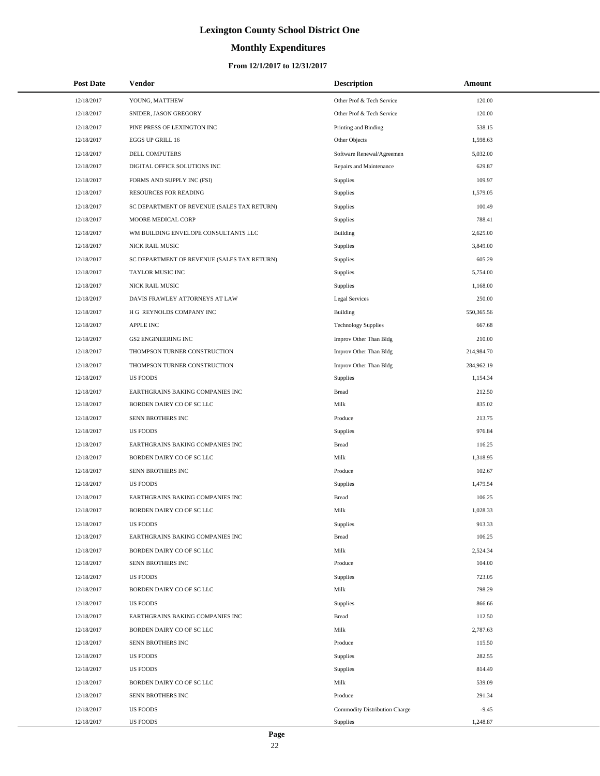# **Monthly Expenditures**

### **From 12/1/2017 to 12/31/2017**

| <b>Post Date</b> | <b>Vendor</b>                               | <b>Description</b>            | Amount     |  |
|------------------|---------------------------------------------|-------------------------------|------------|--|
| 12/18/2017       | YOUNG, MATTHEW                              | Other Prof & Tech Service     | 120.00     |  |
| 12/18/2017       | SNIDER, JASON GREGORY                       | Other Prof & Tech Service     | 120.00     |  |
| 12/18/2017       | PINE PRESS OF LEXINGTON INC                 | Printing and Binding          | 538.15     |  |
| 12/18/2017       | EGGS UP GRILL 16                            | Other Objects                 | 1,598.63   |  |
| 12/18/2017       | DELL COMPUTERS                              | Software Renewal/Agreemen     | 5,032.00   |  |
| 12/18/2017       | DIGITAL OFFICE SOLUTIONS INC                | Repairs and Maintenance       | 629.87     |  |
| 12/18/2017       | FORMS AND SUPPLY INC (FSI)                  | <b>Supplies</b>               | 109.97     |  |
| 12/18/2017       | RESOURCES FOR READING                       | Supplies                      | 1,579.05   |  |
| 12/18/2017       | SC DEPARTMENT OF REVENUE (SALES TAX RETURN) | Supplies                      | 100.49     |  |
| 12/18/2017       | MOORE MEDICAL CORP                          | Supplies                      | 788.41     |  |
| 12/18/2017       | WM BUILDING ENVELOPE CONSULTANTS LLC        | Building                      | 2,625.00   |  |
| 12/18/2017       | NICK RAIL MUSIC                             | Supplies                      | 3,849.00   |  |
| 12/18/2017       | SC DEPARTMENT OF REVENUE (SALES TAX RETURN) | Supplies                      | 605.29     |  |
| 12/18/2017       | <b>TAYLOR MUSIC INC</b>                     | Supplies                      | 5,754.00   |  |
| 12/18/2017       | NICK RAIL MUSIC                             | Supplies                      | 1,168.00   |  |
| 12/18/2017       | DAVIS FRAWLEY ATTORNEYS AT LAW              | <b>Legal Services</b>         | 250.00     |  |
| 12/18/2017       | H G REYNOLDS COMPANY INC                    | Building                      | 550,365.56 |  |
| 12/18/2017       | <b>APPLE INC</b>                            | <b>Technology Supplies</b>    | 667.68     |  |
| 12/18/2017       | <b>GS2 ENGINEERING INC</b>                  | Improv Other Than Bldg        | 210.00     |  |
| 12/18/2017       | THOMPSON TURNER CONSTRUCTION                | Improv Other Than Bldg        | 214,984.70 |  |
| 12/18/2017       | THOMPSON TURNER CONSTRUCTION                | Improv Other Than Bldg        | 284,962.19 |  |
| 12/18/2017       | <b>US FOODS</b>                             | Supplies                      | 1,154.34   |  |
| 12/18/2017       | EARTHGRAINS BAKING COMPANIES INC            | <b>Bread</b>                  | 212.50     |  |
| 12/18/2017       | BORDEN DAIRY CO OF SC LLC                   | Milk                          | 835.02     |  |
| 12/18/2017       | SENN BROTHERS INC                           | Produce                       | 213.75     |  |
| 12/18/2017       | <b>US FOODS</b>                             | Supplies                      | 976.84     |  |
| 12/18/2017       | EARTHGRAINS BAKING COMPANIES INC            | <b>Bread</b>                  | 116.25     |  |
| 12/18/2017       | BORDEN DAIRY CO OF SC LLC                   | Milk                          | 1,318.95   |  |
| 12/18/2017       | SENN BROTHERS INC                           | Produce                       | 102.67     |  |
| 12/18/2017       | <b>US FOODS</b>                             | Supplies                      | 1,479.54   |  |
| 12/18/2017       | EARTHGRAINS BAKING COMPANIES INC            | <b>Bread</b>                  | 106.25     |  |
| 12/18/2017       | <b>BORDEN DAIRY CO OF SC LLC</b>            | Milk                          | 1,028.33   |  |
| 12/18/2017       | <b>US FOODS</b>                             | Supplies                      | 913.33     |  |
| 12/18/2017       | EARTHGRAINS BAKING COMPANIES INC            | <b>Bread</b>                  | 106.25     |  |
| 12/18/2017       | BORDEN DAIRY CO OF SC LLC                   | Milk                          | 2,524.34   |  |
| 12/18/2017       | SENN BROTHERS INC                           | Produce                       | 104.00     |  |
| 12/18/2017       | <b>US FOODS</b>                             | Supplies                      | 723.05     |  |
| 12/18/2017       | BORDEN DAIRY CO OF SC LLC                   | Milk                          | 798.29     |  |
| 12/18/2017       | <b>US FOODS</b>                             | Supplies                      | 866.66     |  |
| 12/18/2017       | EARTHGRAINS BAKING COMPANIES INC            | <b>Bread</b>                  | 112.50     |  |
| 12/18/2017       | BORDEN DAIRY CO OF SC LLC                   | Milk                          | 2,787.63   |  |
| 12/18/2017       | SENN BROTHERS INC                           | Produce                       | 115.50     |  |
| 12/18/2017       | <b>US FOODS</b>                             | Supplies                      | 282.55     |  |
| 12/18/2017       | <b>US FOODS</b>                             | Supplies                      | 814.49     |  |
| 12/18/2017       | BORDEN DAIRY CO OF SC LLC                   | Milk                          | 539.09     |  |
| 12/18/2017       | SENN BROTHERS INC                           | Produce                       | 291.34     |  |
| 12/18/2017       | <b>US FOODS</b>                             | Commodity Distribution Charge | $-9.45$    |  |
| 12/18/2017       | US FOODS                                    | Supplies                      | 1,248.87   |  |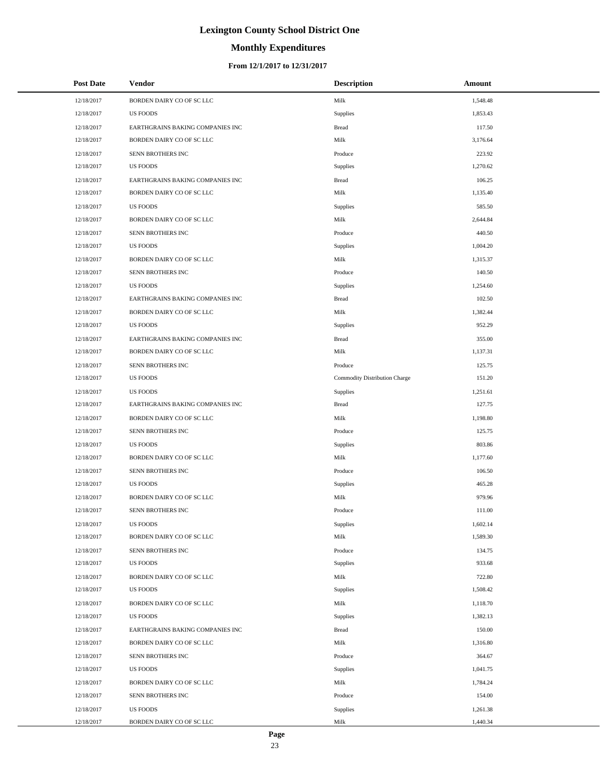# **Monthly Expenditures**

### **From 12/1/2017 to 12/31/2017**

| <b>Post Date</b> | <b>Vendor</b>                    | <b>Description</b>            | Amount   |
|------------------|----------------------------------|-------------------------------|----------|
| 12/18/2017       | BORDEN DAIRY CO OF SC LLC        | Milk                          | 1,548.48 |
| 12/18/2017       | US FOODS                         | Supplies                      | 1,853.43 |
| 12/18/2017       | EARTHGRAINS BAKING COMPANIES INC | <b>Bread</b>                  | 117.50   |
| 12/18/2017       | BORDEN DAIRY CO OF SC LLC        | Milk                          | 3,176.64 |
| 12/18/2017       | SENN BROTHERS INC                | Produce                       | 223.92   |
| 12/18/2017       | <b>US FOODS</b>                  | Supplies                      | 1,270.62 |
| 12/18/2017       | EARTHGRAINS BAKING COMPANIES INC | <b>Bread</b>                  | 106.25   |
| 12/18/2017       | BORDEN DAIRY CO OF SC LLC        | Milk                          | 1,135.40 |
| 12/18/2017       | US FOODS                         | Supplies                      | 585.50   |
| 12/18/2017       | BORDEN DAIRY CO OF SC LLC        | Milk                          | 2,644.84 |
| 12/18/2017       | SENN BROTHERS INC                | Produce                       | 440.50   |
| 12/18/2017       | <b>US FOODS</b>                  | Supplies                      | 1,004.20 |
| 12/18/2017       | BORDEN DAIRY CO OF SC LLC        | Milk                          | 1,315.37 |
| 12/18/2017       | SENN BROTHERS INC                | Produce                       | 140.50   |
| 12/18/2017       | <b>US FOODS</b>                  | Supplies                      | 1,254.60 |
| 12/18/2017       | EARTHGRAINS BAKING COMPANIES INC | <b>Bread</b>                  | 102.50   |
| 12/18/2017       | BORDEN DAIRY CO OF SC LLC        | Milk                          | 1,382.44 |
| 12/18/2017       | <b>US FOODS</b>                  | Supplies                      | 952.29   |
| 12/18/2017       | EARTHGRAINS BAKING COMPANIES INC | <b>Bread</b>                  | 355.00   |
| 12/18/2017       | BORDEN DAIRY CO OF SC LLC        | Milk                          | 1,137.31 |
| 12/18/2017       | SENN BROTHERS INC                | Produce                       | 125.75   |
| 12/18/2017       | <b>US FOODS</b>                  | Commodity Distribution Charge | 151.20   |
| 12/18/2017       | <b>US FOODS</b>                  | Supplies                      | 1,251.61 |
| 12/18/2017       | EARTHGRAINS BAKING COMPANIES INC | <b>Bread</b>                  | 127.75   |
| 12/18/2017       | BORDEN DAIRY CO OF SC LLC        | Milk                          | 1,198.80 |
| 12/18/2017       | SENN BROTHERS INC                | Produce                       | 125.75   |
| 12/18/2017       | <b>US FOODS</b>                  | Supplies                      | 803.86   |
| 12/18/2017       | BORDEN DAIRY CO OF SC LLC        | Milk                          | 1,177.60 |
| 12/18/2017       | SENN BROTHERS INC                | Produce                       | 106.50   |
| 12/18/2017       | <b>US FOODS</b>                  | Supplies                      | 465.28   |
| 12/18/2017       | BORDEN DAIRY CO OF SC LLC        | Milk                          | 979.96   |
| 12/18/2017       | SENN BROTHERS INC                | Produce                       | 111.00   |
| 12/18/2017       | <b>US FOODS</b>                  | Supplies                      | 1,602.14 |
| 12/18/2017       | BORDEN DAIRY CO OF SC LLC        | Milk                          | 1,589.30 |
| 12/18/2017       | SENN BROTHERS INC                | Produce                       | 134.75   |
| 12/18/2017       | <b>US FOODS</b>                  | Supplies                      | 933.68   |
| 12/18/2017       | BORDEN DAIRY CO OF SC LLC        | Milk                          | 722.80   |
| 12/18/2017       | <b>US FOODS</b>                  | Supplies                      | 1,508.42 |
| 12/18/2017       | BORDEN DAIRY CO OF SC LLC        | Milk                          | 1,118.70 |
| 12/18/2017       | <b>US FOODS</b>                  | Supplies                      | 1,382.13 |
| 12/18/2017       | EARTHGRAINS BAKING COMPANIES INC | <b>Bread</b>                  | 150.00   |
| 12/18/2017       | BORDEN DAIRY CO OF SC LLC        | Milk                          | 1,316.80 |
| 12/18/2017       | SENN BROTHERS INC                | Produce                       | 364.67   |
| 12/18/2017       | <b>US FOODS</b>                  | Supplies                      | 1,041.75 |
| 12/18/2017       | BORDEN DAIRY CO OF SC LLC        | Milk                          | 1,784.24 |
| 12/18/2017       | SENN BROTHERS INC                | Produce                       | 154.00   |
| 12/18/2017       | <b>US FOODS</b>                  | Supplies                      | 1,261.38 |
| 12/18/2017       | BORDEN DAIRY CO OF SC LLC        | Milk                          | 1,440.34 |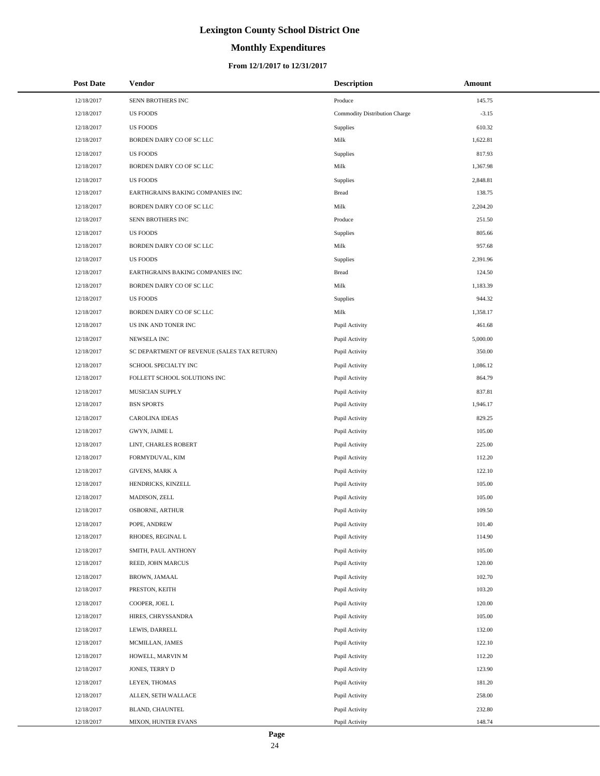# **Monthly Expenditures**

| <b>Post Date</b> | Vendor                                      | <b>Description</b>            | Amount   |
|------------------|---------------------------------------------|-------------------------------|----------|
| 12/18/2017       | SENN BROTHERS INC                           | Produce                       | 145.75   |
| 12/18/2017       | <b>US FOODS</b>                             | Commodity Distribution Charge | $-3.15$  |
| 12/18/2017       | <b>US FOODS</b>                             | Supplies                      | 610.32   |
| 12/18/2017       | BORDEN DAIRY CO OF SC LLC                   | Milk                          | 1,622.81 |
| 12/18/2017       | <b>US FOODS</b>                             | Supplies                      | 817.93   |
| 12/18/2017       | BORDEN DAIRY CO OF SC LLC                   | Milk                          | 1,367.98 |
| 12/18/2017       | <b>US FOODS</b>                             | Supplies                      | 2,848.81 |
| 12/18/2017       | EARTHGRAINS BAKING COMPANIES INC            | Bread                         | 138.75   |
| 12/18/2017       | BORDEN DAIRY CO OF SC LLC                   | Milk                          | 2,204.20 |
| 12/18/2017       | SENN BROTHERS INC                           | Produce                       | 251.50   |
| 12/18/2017       | <b>US FOODS</b>                             | Supplies                      | 805.66   |
| 12/18/2017       | BORDEN DAIRY CO OF SC LLC                   | Milk                          | 957.68   |
| 12/18/2017       | <b>US FOODS</b>                             | Supplies                      | 2,391.96 |
| 12/18/2017       | EARTHGRAINS BAKING COMPANIES INC            | Bread                         | 124.50   |
| 12/18/2017       | BORDEN DAIRY CO OF SC LLC                   | Milk                          | 1,183.39 |
| 12/18/2017       | <b>US FOODS</b>                             | Supplies                      | 944.32   |
| 12/18/2017       | BORDEN DAIRY CO OF SC LLC                   | Milk                          | 1,358.17 |
| 12/18/2017       | US INK AND TONER INC                        | Pupil Activity                | 461.68   |
| 12/18/2017       | NEWSELA INC                                 | Pupil Activity                | 5,000.00 |
| 12/18/2017       | SC DEPARTMENT OF REVENUE (SALES TAX RETURN) | Pupil Activity                | 350.00   |
| 12/18/2017       | SCHOOL SPECIALTY INC                        | Pupil Activity                | 1,086.12 |
| 12/18/2017       | FOLLETT SCHOOL SOLUTIONS INC                | Pupil Activity                | 864.79   |
| 12/18/2017       | MUSICIAN SUPPLY                             | Pupil Activity                | 837.81   |
| 12/18/2017       | <b>BSN SPORTS</b>                           | Pupil Activity                | 1,946.17 |
| 12/18/2017       | <b>CAROLINA IDEAS</b>                       | Pupil Activity                | 829.25   |
| 12/18/2017       | GWYN, JAIME L                               | Pupil Activity                | 105.00   |
| 12/18/2017       | LINT, CHARLES ROBERT                        | Pupil Activity                | 225.00   |
| 12/18/2017       | FORMYDUVAL, KIM                             | Pupil Activity                | 112.20   |
| 12/18/2017       | <b>GIVENS, MARK A</b>                       | Pupil Activity                | 122.10   |
| 12/18/2017       | HENDRICKS, KINZELL                          | Pupil Activity                | 105.00   |
| 12/18/2017       | MADISON, ZELL                               | Pupil Activity                | 105.00   |
| 12/18/2017       | <b>OSBORNE, ARTHUR</b>                      | Pupil Activity                | 109.50   |
| 12/18/2017       | POPE, ANDREW                                | Pupil Activity                | 101.40   |
| 12/18/2017       | RHODES, REGINAL L                           | Pupil Activity                | 114.90   |
| 12/18/2017       | SMITH, PAUL ANTHONY                         | Pupil Activity                | 105.00   |
| 12/18/2017       | REED, JOHN MARCUS                           | Pupil Activity                | 120.00   |
| 12/18/2017       | BROWN, JAMAAL                               | Pupil Activity                | 102.70   |
| 12/18/2017       | PRESTON, KEITH                              | Pupil Activity                | 103.20   |
| 12/18/2017       | COOPER, JOEL L                              | Pupil Activity                | 120.00   |
| 12/18/2017       | HIRES, CHRYSSANDRA                          | Pupil Activity                | 105.00   |
| 12/18/2017       | LEWIS, DARRELL                              | Pupil Activity                | 132.00   |
| 12/18/2017       | MCMILLAN, JAMES                             | Pupil Activity                | 122.10   |
| 12/18/2017       | HOWELL, MARVIN M                            | Pupil Activity                | 112.20   |
| 12/18/2017       | JONES, TERRY D                              | Pupil Activity                | 123.90   |
| 12/18/2017       | LEYEN, THOMAS                               | Pupil Activity                | 181.20   |
| 12/18/2017       | ALLEN, SETH WALLACE                         | Pupil Activity                | 258.00   |
| 12/18/2017       | BLAND, CHAUNTEL                             | Pupil Activity                | 232.80   |
| 12/18/2017       | MIXON, HUNTER EVANS                         | Pupil Activity                | 148.74   |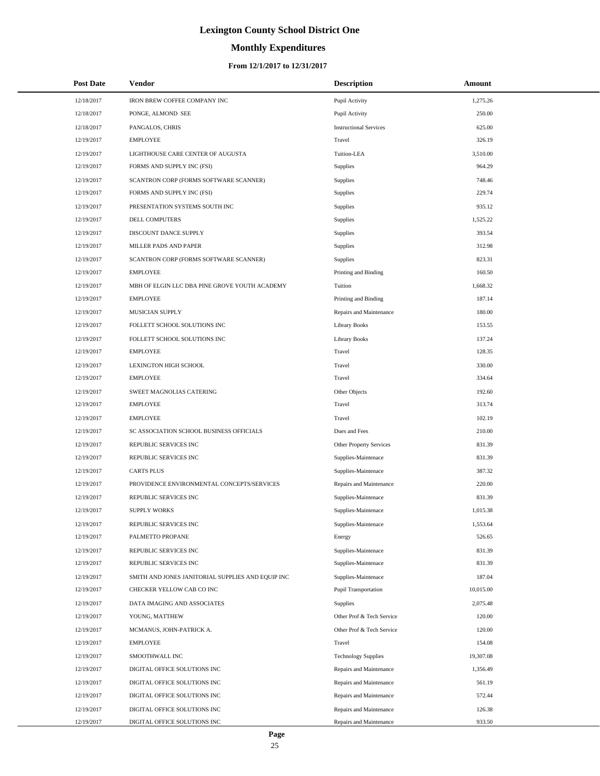# **Monthly Expenditures**

| <b>Post Date</b> | Vendor                                            | <b>Description</b>            | Amount    |
|------------------|---------------------------------------------------|-------------------------------|-----------|
| 12/18/2017       | IRON BREW COFFEE COMPANY INC                      | Pupil Activity                | 1,275.26  |
| 12/18/2017       | PONGE, ALMOND SEE                                 | Pupil Activity                | 250.00    |
| 12/18/2017       | PANGALOS, CHRIS                                   | <b>Instructional Services</b> | 625.00    |
| 12/19/2017       | <b>EMPLOYEE</b>                                   | Travel                        | 326.19    |
| 12/19/2017       | LIGHTHOUSE CARE CENTER OF AUGUSTA                 | Tuition-LEA                   | 3,510.00  |
| 12/19/2017       | FORMS AND SUPPLY INC (FSI)                        | Supplies                      | 964.29    |
| 12/19/2017       | SCANTRON CORP (FORMS SOFTWARE SCANNER)            | Supplies                      | 748.46    |
| 12/19/2017       | FORMS AND SUPPLY INC (FSI)                        | Supplies                      | 229.74    |
| 12/19/2017       | PRESENTATION SYSTEMS SOUTH INC                    | Supplies                      | 935.12    |
| 12/19/2017       | DELL COMPUTERS                                    | Supplies                      | 1,525.22  |
| 12/19/2017       | DISCOUNT DANCE SUPPLY                             | Supplies                      | 393.54    |
| 12/19/2017       | MILLER PADS AND PAPER                             | Supplies                      | 312.98    |
| 12/19/2017       | SCANTRON CORP (FORMS SOFTWARE SCANNER)            | Supplies                      | 823.31    |
| 12/19/2017       | <b>EMPLOYEE</b>                                   | Printing and Binding          | 160.50    |
| 12/19/2017       | MBH OF ELGIN LLC DBA PINE GROVE YOUTH ACADEMY     | Tuition                       | 1,668.32  |
| 12/19/2017       | <b>EMPLOYEE</b>                                   | Printing and Binding          | 187.14    |
| 12/19/2017       | MUSICIAN SUPPLY                                   | Repairs and Maintenance       | 180.00    |
| 12/19/2017       | FOLLETT SCHOOL SOLUTIONS INC                      | <b>Library Books</b>          | 153.55    |
| 12/19/2017       | FOLLETT SCHOOL SOLUTIONS INC                      | <b>Library Books</b>          | 137.24    |
| 12/19/2017       | <b>EMPLOYEE</b>                                   | Travel                        | 128.35    |
| 12/19/2017       | LEXINGTON HIGH SCHOOL                             | Travel                        | 330.00    |
| 12/19/2017       | <b>EMPLOYEE</b>                                   | Travel                        | 334.64    |
| 12/19/2017       | SWEET MAGNOLIAS CATERING                          | Other Objects                 | 192.60    |
| 12/19/2017       | <b>EMPLOYEE</b>                                   | Travel                        | 313.74    |
| 12/19/2017       | <b>EMPLOYEE</b>                                   | Travel                        | 102.19    |
| 12/19/2017       | SC ASSOCIATION SCHOOL BUSINESS OFFICIALS          | Dues and Fees                 | 210.00    |
| 12/19/2017       | REPUBLIC SERVICES INC                             | Other Property Services       | 831.39    |
| 12/19/2017       | REPUBLIC SERVICES INC                             | Supplies-Maintenace           | 831.39    |
| 12/19/2017       | <b>CARTS PLUS</b>                                 | Supplies-Maintenace           | 387.32    |
| 12/19/2017       | PROVIDENCE ENVIRONMENTAL CONCEPTS/SERVICES        | Repairs and Maintenance       | 220.00    |
| 12/19/2017       | REPUBLIC SERVICES INC                             | Supplies-Maintenace           | 831.39    |
| 12/19/2017       | <b>SUPPLY WORKS</b>                               | Supplies-Maintenace           | 1,015.38  |
| 12/19/2017       | REPUBLIC SERVICES INC                             | Supplies-Maintenace           | 1,553.64  |
| 12/19/2017       | PALMETTO PROPANE                                  | Energy                        | 526.65    |
| 12/19/2017       | REPUBLIC SERVICES INC                             | Supplies-Maintenace           | 831.39    |
| 12/19/2017       | REPUBLIC SERVICES INC                             | Supplies-Maintenace           | 831.39    |
| 12/19/2017       | SMITH AND JONES JANITORIAL SUPPLIES AND EQUIP INC | Supplies-Maintenace           | 187.04    |
| 12/19/2017       | CHECKER YELLOW CAB CO INC                         | <b>Pupil Transportation</b>   | 10,015.00 |
| 12/19/2017       | DATA IMAGING AND ASSOCIATES                       | <b>Supplies</b>               | 2,075.48  |
| 12/19/2017       | YOUNG, MATTHEW                                    | Other Prof & Tech Service     | 120.00    |
| 12/19/2017       | MCMANUS, JOHN-PATRICK A.                          | Other Prof & Tech Service     | 120.00    |
| 12/19/2017       | <b>EMPLOYEE</b>                                   | Travel                        | 154.08    |
| 12/19/2017       | SMOOTHWALL INC                                    | <b>Technology Supplies</b>    | 19,307.08 |
| 12/19/2017       | DIGITAL OFFICE SOLUTIONS INC                      | Repairs and Maintenance       | 1,356.49  |
| 12/19/2017       | DIGITAL OFFICE SOLUTIONS INC                      | Repairs and Maintenance       | 561.19    |
| 12/19/2017       | DIGITAL OFFICE SOLUTIONS INC                      | Repairs and Maintenance       | 572.44    |
| 12/19/2017       | DIGITAL OFFICE SOLUTIONS INC                      | Repairs and Maintenance       | 126.38    |
| 12/19/2017       | DIGITAL OFFICE SOLUTIONS INC                      | Repairs and Maintenance       | 933.50    |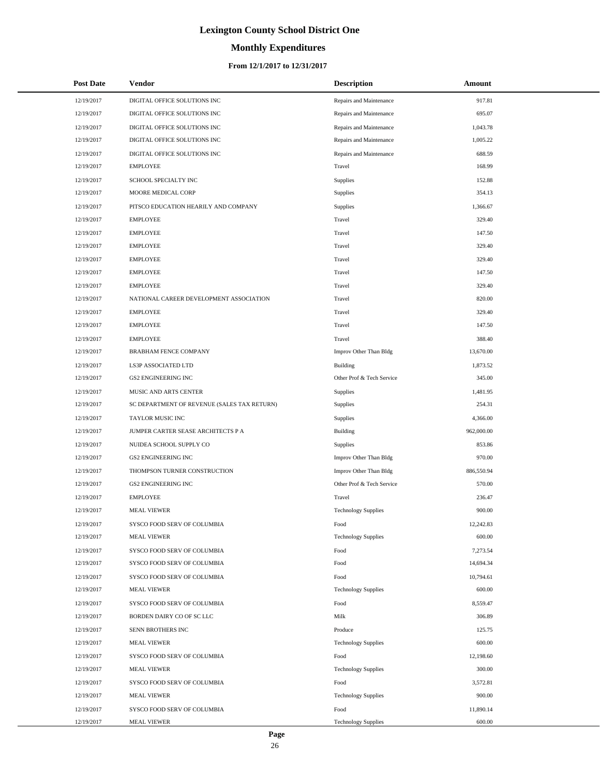# **Monthly Expenditures**

### **From 12/1/2017 to 12/31/2017**

| <b>Post Date</b> | <b>Vendor</b>                               | <b>Description</b>         | Amount     |
|------------------|---------------------------------------------|----------------------------|------------|
| 12/19/2017       | DIGITAL OFFICE SOLUTIONS INC                | Repairs and Maintenance    | 917.81     |
| 12/19/2017       | DIGITAL OFFICE SOLUTIONS INC                | Repairs and Maintenance    | 695.07     |
| 12/19/2017       | DIGITAL OFFICE SOLUTIONS INC                | Repairs and Maintenance    | 1,043.78   |
| 12/19/2017       | DIGITAL OFFICE SOLUTIONS INC                | Repairs and Maintenance    | 1,005.22   |
| 12/19/2017       | DIGITAL OFFICE SOLUTIONS INC                | Repairs and Maintenance    | 688.59     |
| 12/19/2017       | <b>EMPLOYEE</b>                             | Travel                     | 168.99     |
| 12/19/2017       | SCHOOL SPECIALTY INC                        | Supplies                   | 152.88     |
| 12/19/2017       | MOORE MEDICAL CORP                          | Supplies                   | 354.13     |
| 12/19/2017       | PITSCO EDUCATION HEARILY AND COMPANY        | Supplies                   | 1,366.67   |
| 12/19/2017       | <b>EMPLOYEE</b>                             | Travel                     | 329.40     |
| 12/19/2017       | <b>EMPLOYEE</b>                             | Travel                     | 147.50     |
| 12/19/2017       | <b>EMPLOYEE</b>                             | Travel                     | 329.40     |
| 12/19/2017       | <b>EMPLOYEE</b>                             | Travel                     | 329.40     |
| 12/19/2017       | <b>EMPLOYEE</b>                             | Travel                     | 147.50     |
| 12/19/2017       | <b>EMPLOYEE</b>                             | Travel                     | 329.40     |
| 12/19/2017       | NATIONAL CAREER DEVELOPMENT ASSOCIATION     | Travel                     | 820.00     |
| 12/19/2017       | <b>EMPLOYEE</b>                             | Travel                     | 329.40     |
| 12/19/2017       | <b>EMPLOYEE</b>                             | Travel                     | 147.50     |
| 12/19/2017       | <b>EMPLOYEE</b>                             | Travel                     | 388.40     |
| 12/19/2017       | BRABHAM FENCE COMPANY                       | Improv Other Than Bldg     | 13,670.00  |
| 12/19/2017       | LS3P ASSOCIATED LTD                         | <b>Building</b>            | 1,873.52   |
| 12/19/2017       | <b>GS2 ENGINEERING INC</b>                  | Other Prof & Tech Service  | 345.00     |
| 12/19/2017       | MUSIC AND ARTS CENTER                       | Supplies                   | 1,481.95   |
| 12/19/2017       | SC DEPARTMENT OF REVENUE (SALES TAX RETURN) | Supplies                   | 254.31     |
| 12/19/2017       | TAYLOR MUSIC INC                            | Supplies                   | 4,366.00   |
| 12/19/2017       | JUMPER CARTER SEASE ARCHITECTS P A          | <b>Building</b>            | 962,000.00 |
| 12/19/2017       | NUIDEA SCHOOL SUPPLY CO                     | Supplies                   | 853.86     |
| 12/19/2017       | <b>GS2 ENGINEERING INC</b>                  | Improv Other Than Bldg     | 970.00     |
| 12/19/2017       | THOMPSON TURNER CONSTRUCTION                | Improv Other Than Bldg     | 886,550.94 |
| 12/19/2017       | <b>GS2 ENGINEERING INC</b>                  | Other Prof & Tech Service  | 570.00     |
| 12/19/2017       | <b>EMPLOYEE</b>                             | Travel                     | 236.47     |
| 12/19/2017       | <b>MEAL VIEWER</b>                          | <b>Technology Supplies</b> | 900.00     |
| 12/19/2017       | SYSCO FOOD SERV OF COLUMBIA                 | Food                       | 12,242.83  |
| 12/19/2017       | <b>MEAL VIEWER</b>                          | <b>Technology Supplies</b> | 600.00     |
| 12/19/2017       | SYSCO FOOD SERV OF COLUMBIA                 | Food                       | 7,273.54   |
| 12/19/2017       | SYSCO FOOD SERV OF COLUMBIA                 | Food                       | 14,694.34  |
| 12/19/2017       | SYSCO FOOD SERV OF COLUMBIA                 | Food                       | 10,794.61  |
| 12/19/2017       | <b>MEAL VIEWER</b>                          | <b>Technology Supplies</b> | 600.00     |
| 12/19/2017       | SYSCO FOOD SERV OF COLUMBIA                 | Food                       | 8,559.47   |
| 12/19/2017       | BORDEN DAIRY CO OF SC LLC                   | Milk                       | 306.89     |
| 12/19/2017       | SENN BROTHERS INC                           | Produce                    | 125.75     |
| 12/19/2017       | <b>MEAL VIEWER</b>                          | <b>Technology Supplies</b> | 600.00     |
| 12/19/2017       | SYSCO FOOD SERV OF COLUMBIA                 | Food                       | 12,198.60  |
| 12/19/2017       | <b>MEAL VIEWER</b>                          | <b>Technology Supplies</b> | 300.00     |
| 12/19/2017       | SYSCO FOOD SERV OF COLUMBIA                 | Food                       | 3,572.81   |
| 12/19/2017       | <b>MEAL VIEWER</b>                          | <b>Technology Supplies</b> | 900.00     |
| 12/19/2017       | SYSCO FOOD SERV OF COLUMBIA                 | Food                       | 11,890.14  |
| 12/19/2017       | <b>MEAL VIEWER</b>                          | <b>Technology Supplies</b> | 600.00     |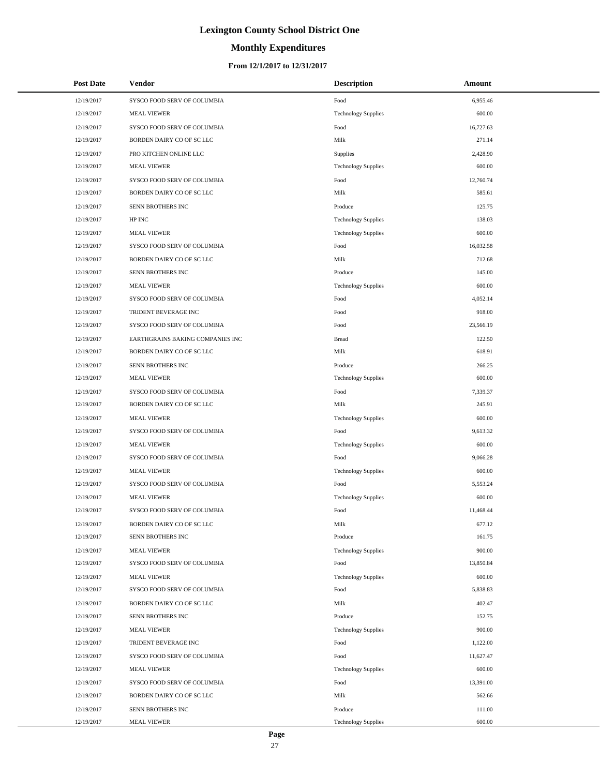# **Monthly Expenditures**

### **From 12/1/2017 to 12/31/2017**

| <b>Post Date</b> | Vendor                           | <b>Description</b>         | Amount    |
|------------------|----------------------------------|----------------------------|-----------|
| 12/19/2017       | SYSCO FOOD SERV OF COLUMBIA      | Food                       | 6,955.46  |
| 12/19/2017       | <b>MEAL VIEWER</b>               | <b>Technology Supplies</b> | 600.00    |
| 12/19/2017       | SYSCO FOOD SERV OF COLUMBIA      | Food                       | 16,727.63 |
| 12/19/2017       | BORDEN DAIRY CO OF SC LLC        | Milk                       | 271.14    |
| 12/19/2017       | PRO KITCHEN ONLINE LLC           | Supplies                   | 2,428.90  |
| 12/19/2017       | <b>MEAL VIEWER</b>               | <b>Technology Supplies</b> | 600.00    |
| 12/19/2017       | SYSCO FOOD SERV OF COLUMBIA      | Food                       | 12,760.74 |
| 12/19/2017       | BORDEN DAIRY CO OF SC LLC        | Milk                       | 585.61    |
| 12/19/2017       | SENN BROTHERS INC                | Produce                    | 125.75    |
| 12/19/2017       | HP INC                           | <b>Technology Supplies</b> | 138.03    |
| 12/19/2017       | <b>MEAL VIEWER</b>               | <b>Technology Supplies</b> | 600.00    |
| 12/19/2017       | SYSCO FOOD SERV OF COLUMBIA      | Food                       | 16,032.58 |
| 12/19/2017       | BORDEN DAIRY CO OF SC LLC        | Milk                       | 712.68    |
| 12/19/2017       | SENN BROTHERS INC                | Produce                    | 145.00    |
| 12/19/2017       | <b>MEAL VIEWER</b>               | <b>Technology Supplies</b> | 600.00    |
| 12/19/2017       | SYSCO FOOD SERV OF COLUMBIA      | Food                       | 4,052.14  |
| 12/19/2017       | TRIDENT BEVERAGE INC             | Food                       | 918.00    |
| 12/19/2017       | SYSCO FOOD SERV OF COLUMBIA      | Food                       | 23,566.19 |
| 12/19/2017       | EARTHGRAINS BAKING COMPANIES INC | <b>Bread</b>               | 122.50    |
| 12/19/2017       | BORDEN DAIRY CO OF SC LLC        | Milk                       | 618.91    |
| 12/19/2017       | SENN BROTHERS INC                | Produce                    | 266.25    |
| 12/19/2017       | <b>MEAL VIEWER</b>               | <b>Technology Supplies</b> | 600.00    |
| 12/19/2017       | SYSCO FOOD SERV OF COLUMBIA      | Food                       | 7,339.37  |
| 12/19/2017       | BORDEN DAIRY CO OF SC LLC        | Milk                       | 245.91    |
| 12/19/2017       | <b>MEAL VIEWER</b>               | <b>Technology Supplies</b> | 600.00    |
| 12/19/2017       | SYSCO FOOD SERV OF COLUMBIA      | Food                       | 9,613.32  |
| 12/19/2017       | <b>MEAL VIEWER</b>               | <b>Technology Supplies</b> | 600.00    |
| 12/19/2017       | SYSCO FOOD SERV OF COLUMBIA      | Food                       | 9,066.28  |
| 12/19/2017       | <b>MEAL VIEWER</b>               | <b>Technology Supplies</b> | 600.00    |
| 12/19/2017       | SYSCO FOOD SERV OF COLUMBIA      | Food                       | 5,553.24  |
| 12/19/2017       | <b>MEAL VIEWER</b>               | <b>Technology Supplies</b> | 600.00    |
| 12/19/2017       | SYSCO FOOD SERV OF COLUMBIA      | Food                       | 11,468.44 |
| 12/19/2017       | BORDEN DAIRY CO OF SC LLC        | Milk                       | 677.12    |
| 12/19/2017       | SENN BROTHERS INC                | Produce                    | 161.75    |
| 12/19/2017       | <b>MEAL VIEWER</b>               | <b>Technology Supplies</b> | 900.00    |
| 12/19/2017       | SYSCO FOOD SERV OF COLUMBIA      | Food                       | 13,850.84 |
| 12/19/2017       | <b>MEAL VIEWER</b>               | <b>Technology Supplies</b> | 600.00    |
| 12/19/2017       | SYSCO FOOD SERV OF COLUMBIA      | Food                       | 5,838.83  |
| 12/19/2017       | BORDEN DAIRY CO OF SC LLC        | Milk                       | 402.47    |
| 12/19/2017       | SENN BROTHERS INC                | Produce                    | 152.75    |
| 12/19/2017       | <b>MEAL VIEWER</b>               | <b>Technology Supplies</b> | 900.00    |
| 12/19/2017       | TRIDENT BEVERAGE INC             | Food                       | 1,122.00  |
| 12/19/2017       | SYSCO FOOD SERV OF COLUMBIA      | Food                       | 11,627.47 |
| 12/19/2017       | <b>MEAL VIEWER</b>               | <b>Technology Supplies</b> | 600.00    |
| 12/19/2017       | SYSCO FOOD SERV OF COLUMBIA      | Food                       | 13,391.00 |
| 12/19/2017       | BORDEN DAIRY CO OF SC LLC        | Milk                       | 562.66    |
| 12/19/2017       | SENN BROTHERS INC                | Produce                    | 111.00    |
| 12/19/2017       | <b>MEAL VIEWER</b>               | <b>Technology Supplies</b> | 600.00    |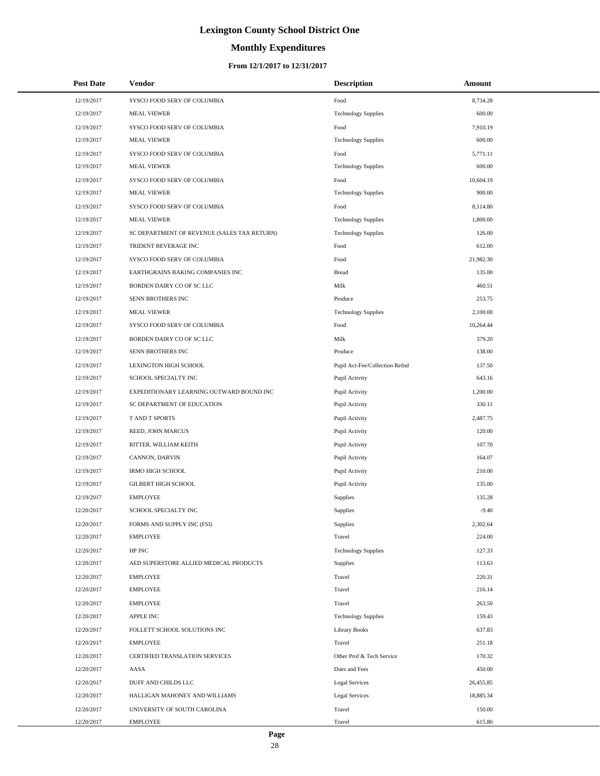# **Monthly Expenditures**

| <b>Post Date</b> | Vendor                                      | <b>Description</b>             | Amount    |
|------------------|---------------------------------------------|--------------------------------|-----------|
| 12/19/2017       | SYSCO FOOD SERV OF COLUMBIA                 | Food                           | 8,734.28  |
| 12/19/2017       | <b>MEAL VIEWER</b>                          | <b>Technology Supplies</b>     | 600.00    |
| 12/19/2017       | SYSCO FOOD SERV OF COLUMBIA                 | Food                           | 7,910.19  |
| 12/19/2017       | <b>MEAL VIEWER</b>                          | <b>Technology Supplies</b>     | 600.00    |
| 12/19/2017       | SYSCO FOOD SERV OF COLUMBIA                 | Food                           | 5,771.11  |
| 12/19/2017       | <b>MEAL VIEWER</b>                          | <b>Technology Supplies</b>     | 600.00    |
| 12/19/2017       | SYSCO FOOD SERV OF COLUMBIA                 | Food                           | 10,604.19 |
| 12/19/2017       | <b>MEAL VIEWER</b>                          | <b>Technology Supplies</b>     | 900.00    |
| 12/19/2017       | SYSCO FOOD SERV OF COLUMBIA                 | Food                           | 8,114.80  |
| 12/19/2017       | <b>MEAL VIEWER</b>                          | <b>Technology Supplies</b>     | 1,800.00  |
| 12/19/2017       | SC DEPARTMENT OF REVENUE (SALES TAX RETURN) | <b>Technology Supplies</b>     | 126.00    |
| 12/19/2017       | TRIDENT BEVERAGE INC                        | Food                           | 612.00    |
| 12/19/2017       | SYSCO FOOD SERV OF COLUMBIA                 | Food                           | 21,982.30 |
| 12/19/2017       | EARTHGRAINS BAKING COMPANIES INC            | <b>Bread</b>                   | 135.00    |
| 12/19/2017       | BORDEN DAIRY CO OF SC LLC                   | Milk                           | 460.51    |
| 12/19/2017       | SENN BROTHERS INC                           | Produce                        | 253.75    |
| 12/19/2017       | <b>MEAL VIEWER</b>                          | <b>Technology Supplies</b>     | 2,100.00  |
| 12/19/2017       | SYSCO FOOD SERV OF COLUMBIA                 | Food                           | 10,264.44 |
| 12/19/2017       | BORDEN DAIRY CO OF SC LLC                   | Milk                           | 379.20    |
| 12/19/2017       | SENN BROTHERS INC                           | Produce                        | 138.00    |
| 12/19/2017       | LEXINGTON HIGH SCHOOL                       | Pupil Act-Fee/Collection Refnd | 137.50    |
| 12/19/2017       | SCHOOL SPECIALTY INC                        | Pupil Activity                 | 643.16    |
| 12/19/2017       | EXPEDITIONARY LEARNING OUTWARD BOUND INC    | Pupil Activity                 | 1,200.00  |
| 12/19/2017       | SC DEPARTMENT OF EDUCATION                  | Pupil Activity                 | 330.11    |
| 12/19/2017       | T AND T SPORTS                              | Pupil Activity                 | 2,487.75  |
| 12/19/2017       | REED, JOHN MARCUS                           | Pupil Activity                 | 120.00    |
| 12/19/2017       | RITTER, WILLIAM KEITH                       | Pupil Activity                 | 107.70    |
| 12/19/2017       | CANNON, DARVIN                              | Pupil Activity                 | 164.07    |
| 12/19/2017       | <b>IRMO HIGH SCHOOL</b>                     | Pupil Activity                 | 210.00    |
| 12/19/2017       | <b>GILBERT HIGH SCHOOL</b>                  | Pupil Activity                 | 135.00    |
| 12/19/2017       | <b>EMPLOYEE</b>                             | Supplies                       | 135.28    |
| 12/20/2017       | SCHOOL SPECIALTY INC                        | Supplies                       | $-9.40$   |
| 12/20/2017       | FORMS AND SUPPLY INC (FSI)                  | Supplies                       | 2,302.64  |
| 12/20/2017       | <b>EMPLOYEE</b>                             | Travel                         | 224.00    |
| 12/20/2017       | HP INC                                      | <b>Technology Supplies</b>     | 127.33    |
| 12/20/2017       | AED SUPERSTORE ALLIED MEDICAL PRODUCTS      | <b>Supplies</b>                | 113.63    |
| 12/20/2017       | <b>EMPLOYEE</b>                             | Travel                         | 220.31    |
| 12/20/2017       | <b>EMPLOYEE</b>                             | Travel                         | 216.14    |
| 12/20/2017       | <b>EMPLOYEE</b>                             | Travel                         | 263.50    |
| 12/20/2017       | <b>APPLE INC</b>                            | <b>Technology Supplies</b>     | 159.43    |
| 12/20/2017       | FOLLETT SCHOOL SOLUTIONS INC                | <b>Library Books</b>           | 637.83    |
| 12/20/2017       | <b>EMPLOYEE</b>                             | Travel                         | 251.18    |
| 12/20/2017       | CERTIFIED TRANSLATION SERVICES              | Other Prof & Tech Service      | 170.32    |
| 12/20/2017       | AASA                                        | Dues and Fees                  | 450.00    |
| 12/20/2017       | DUFF AND CHILDS LLC                         | Legal Services                 | 26,455.85 |
| 12/20/2017       | HALLIGAN MAHONEY AND WILLIAMS               | Legal Services                 | 18,885.34 |
| 12/20/2017       | UNIVERSITY OF SOUTH CAROLINA                | Travel                         | 150.00    |
| 12/20/2017       | <b>EMPLOYEE</b>                             | Travel                         | 615.80    |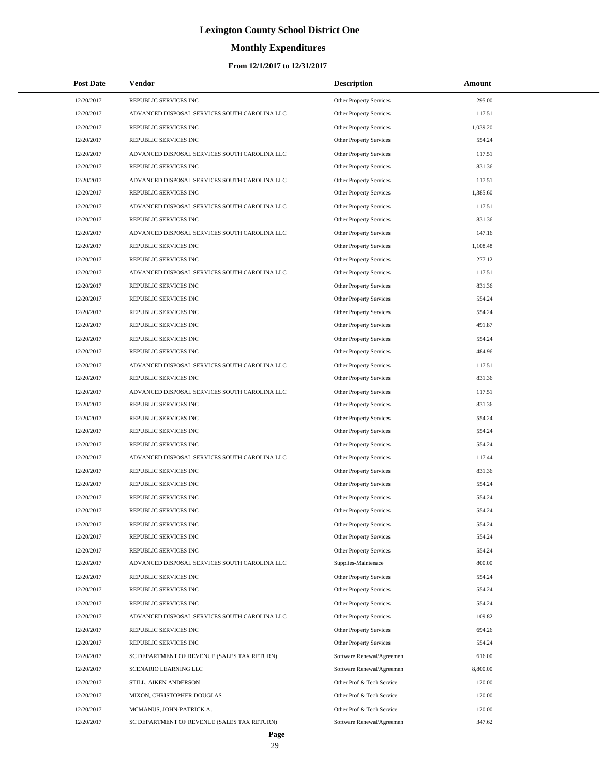# **Monthly Expenditures**

| <b>Post Date</b> | Vendor                                        | <b>Description</b>             | Amount   |  |
|------------------|-----------------------------------------------|--------------------------------|----------|--|
| 12/20/2017       | REPUBLIC SERVICES INC                         | Other Property Services        | 295.00   |  |
| 12/20/2017       | ADVANCED DISPOSAL SERVICES SOUTH CAROLINA LLC | Other Property Services        | 117.51   |  |
| 12/20/2017       | REPUBLIC SERVICES INC                         | Other Property Services        | 1,039.20 |  |
| 12/20/2017       | REPUBLIC SERVICES INC                         | Other Property Services        | 554.24   |  |
| 12/20/2017       | ADVANCED DISPOSAL SERVICES SOUTH CAROLINA LLC | Other Property Services        | 117.51   |  |
| 12/20/2017       | REPUBLIC SERVICES INC                         | Other Property Services        | 831.36   |  |
| 12/20/2017       | ADVANCED DISPOSAL SERVICES SOUTH CAROLINA LLC | Other Property Services        | 117.51   |  |
| 12/20/2017       | REPUBLIC SERVICES INC                         | Other Property Services        | 1,385.60 |  |
| 12/20/2017       | ADVANCED DISPOSAL SERVICES SOUTH CAROLINA LLC | <b>Other Property Services</b> | 117.51   |  |
| 12/20/2017       | REPUBLIC SERVICES INC                         | Other Property Services        | 831.36   |  |
| 12/20/2017       | ADVANCED DISPOSAL SERVICES SOUTH CAROLINA LLC | Other Property Services        | 147.16   |  |
| 12/20/2017       | REPUBLIC SERVICES INC                         | Other Property Services        | 1,108.48 |  |
| 12/20/2017       | REPUBLIC SERVICES INC                         | Other Property Services        | 277.12   |  |
| 12/20/2017       | ADVANCED DISPOSAL SERVICES SOUTH CAROLINA LLC | Other Property Services        | 117.51   |  |
| 12/20/2017       | REPUBLIC SERVICES INC                         | <b>Other Property Services</b> | 831.36   |  |
| 12/20/2017       | REPUBLIC SERVICES INC                         | <b>Other Property Services</b> | 554.24   |  |
| 12/20/2017       | REPUBLIC SERVICES INC                         | <b>Other Property Services</b> | 554.24   |  |
| 12/20/2017       | REPUBLIC SERVICES INC                         | Other Property Services        | 491.87   |  |
| 12/20/2017       | REPUBLIC SERVICES INC                         | Other Property Services        | 554.24   |  |
| 12/20/2017       | REPUBLIC SERVICES INC                         | Other Property Services        | 484.96   |  |
| 12/20/2017       | ADVANCED DISPOSAL SERVICES SOUTH CAROLINA LLC | Other Property Services        | 117.51   |  |
| 12/20/2017       | REPUBLIC SERVICES INC                         | Other Property Services        | 831.36   |  |
| 12/20/2017       | ADVANCED DISPOSAL SERVICES SOUTH CAROLINA LLC | Other Property Services        | 117.51   |  |
| 12/20/2017       | REPUBLIC SERVICES INC                         | Other Property Services        | 831.36   |  |
| 12/20/2017       | REPUBLIC SERVICES INC                         | Other Property Services        | 554.24   |  |
| 12/20/2017       | REPUBLIC SERVICES INC                         | Other Property Services        | 554.24   |  |
| 12/20/2017       | REPUBLIC SERVICES INC                         | Other Property Services        | 554.24   |  |
| 12/20/2017       | ADVANCED DISPOSAL SERVICES SOUTH CAROLINA LLC | Other Property Services        | 117.44   |  |
| 12/20/2017       | REPUBLIC SERVICES INC                         | Other Property Services        | 831.36   |  |
| 12/20/2017       | REPUBLIC SERVICES INC                         | <b>Other Property Services</b> | 554.24   |  |
| 12/20/2017       | REPUBLIC SERVICES INC                         | <b>Other Property Services</b> | 554.24   |  |
| 12/20/2017       | REPUBLIC SERVICES INC                         | Other Property Services        | 554.24   |  |
| 12/20/2017       | REPUBLIC SERVICES INC                         | Other Property Services        | 554.24   |  |
| 12/20/2017       | REPUBLIC SERVICES INC                         | Other Property Services        | 554.24   |  |
| 12/20/2017       | REPUBLIC SERVICES INC                         | Other Property Services        | 554.24   |  |
| 12/20/2017       | ADVANCED DISPOSAL SERVICES SOUTH CAROLINA LLC | Supplies-Maintenace            | 800.00   |  |
| 12/20/2017       | REPUBLIC SERVICES INC                         | Other Property Services        | 554.24   |  |
| 12/20/2017       | REPUBLIC SERVICES INC                         | Other Property Services        | 554.24   |  |
| 12/20/2017       | REPUBLIC SERVICES INC                         | Other Property Services        | 554.24   |  |
| 12/20/2017       | ADVANCED DISPOSAL SERVICES SOUTH CAROLINA LLC | Other Property Services        | 109.82   |  |
| 12/20/2017       | REPUBLIC SERVICES INC                         | Other Property Services        | 694.26   |  |
| 12/20/2017       | REPUBLIC SERVICES INC                         | Other Property Services        | 554.24   |  |
| 12/20/2017       | SC DEPARTMENT OF REVENUE (SALES TAX RETURN)   | Software Renewal/Agreemen      | 616.00   |  |
| 12/20/2017       | SCENARIO LEARNING LLC                         | Software Renewal/Agreemen      | 8,800.00 |  |
| 12/20/2017       | STILL, AIKEN ANDERSON                         | Other Prof & Tech Service      | 120.00   |  |
| 12/20/2017       | MIXON, CHRISTOPHER DOUGLAS                    | Other Prof & Tech Service      | 120.00   |  |
| 12/20/2017       | MCMANUS, JOHN-PATRICK A.                      | Other Prof & Tech Service      | 120.00   |  |
| 12/20/2017       | SC DEPARTMENT OF REVENUE (SALES TAX RETURN)   | Software Renewal/Agreemen      | 347.62   |  |